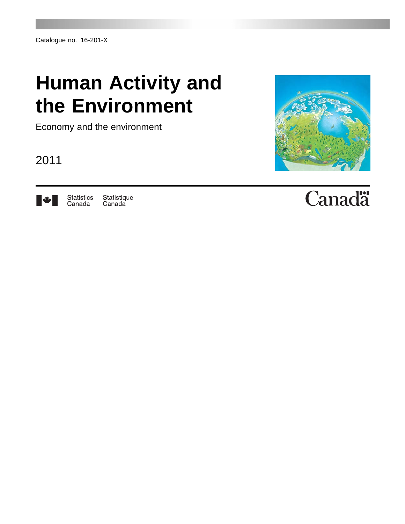## **Human Activity and the Environment**

Economy and the environment

2011



Statistics<br>Canada Statistique<br>Canada



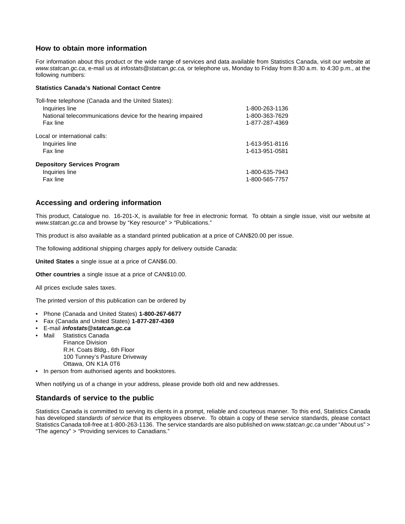## **How to obtain more information**

For information about this product or the wide range of services and data available from Statistics Canada, visit our website at *www.statcan.gc.ca*, e-mail us at *infostats@statcan.gc.ca,* or telephone us, Monday to Friday from 8:30 a.m. to 4:30 p.m., at the following numbers:

## **Statistics Canada's National Contact Centre**

| Toll-free telephone (Canada and the United States):         |                |
|-------------------------------------------------------------|----------------|
| Inquiries line                                              | 1-800-263-1136 |
| National telecommunications device for the hearing impaired | 1-800-363-7629 |
| Fax line                                                    | 1-877-287-4369 |
| Local or international calls:                               |                |
| Inquiries line                                              | 1-613-951-8116 |
| Fax line                                                    | 1-613-951-0581 |
| <b>Depository Services Program</b>                          |                |
| Inquiries line                                              | 1-800-635-7943 |
| Fax line                                                    | 1-800-565-7757 |

## **Accessing and ordering information**

This product, Catalogue no. 16-201-X, is available for free in electronic format. To obtain a single issue, visit our website at *www.statcan.gc.ca* and browse by "Key resource" > "Publications."

This product is also available as a standard printed publication at a price of CAN\$20.00 per issue.

The following additional shipping charges apply for delivery outside Canada:

**United States** a single issue at a price of CAN\$6.00.

**Other countries** a single issue at a price of CAN\$10.00.

All prices exclude sales taxes.

The printed version of this publication can be ordered by

- Phone (Canada and United States) **1-800-267-6677**
- Fax (Canada and United States) **1-877-287-4369**
- E-mail *infostats@statcan.gc.ca*
	- Mail Statistics Canada Finance Division R.H. Coats Bldg., 6th Floor 100 Tunney's Pasture Driveway Ottawa, ON K1A 0T6
- In person from authorised agents and bookstores.

When notifying us of a change in your address, please provide both old and new addresses.

## **Standards of service to the public**

Statistics Canada is committed to serving its clients in a prompt, reliable and courteous manner. To this end, Statistics Canada has developed *standards of service* that its employees observe. To obtain a copy of these service standards, please contact Statistics Canada toll-free at 1-800-263-1136. The service standards are also published on *www.statcan.gc.ca* under "About us" > "The agency" > "Providing services to Canadians."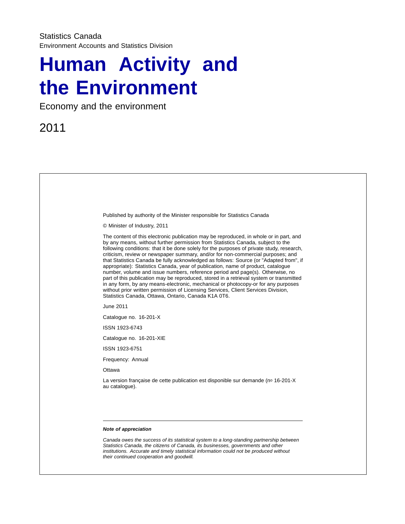## **Human Activity and the Environment**

Economy and the environment

2011

| Published by authority of the Minister responsible for Statistics Canada                                                                                                                                                                                                                                                                                                                                                                                                                                                                                                                                                                                                                                                                                                                                                                                                                                                                             |
|------------------------------------------------------------------------------------------------------------------------------------------------------------------------------------------------------------------------------------------------------------------------------------------------------------------------------------------------------------------------------------------------------------------------------------------------------------------------------------------------------------------------------------------------------------------------------------------------------------------------------------------------------------------------------------------------------------------------------------------------------------------------------------------------------------------------------------------------------------------------------------------------------------------------------------------------------|
| © Minister of Industry, 2011                                                                                                                                                                                                                                                                                                                                                                                                                                                                                                                                                                                                                                                                                                                                                                                                                                                                                                                         |
| The content of this electronic publication may be reproduced, in whole or in part, and<br>by any means, without further permission from Statistics Canada, subject to the<br>following conditions: that it be done solely for the purposes of private study, research,<br>criticism, review or newspaper summary, and/or for non-commercial purposes; and<br>that Statistics Canada be fully acknowledged as follows: Source (or "Adapted from", if<br>appropriate): Statistics Canada, year of publication, name of product, catalogue<br>number, volume and issue numbers, reference period and page(s). Otherwise, no<br>part of this publication may be reproduced, stored in a retrieval system or transmitted<br>in any form, by any means-electronic, mechanical or photocopy-or for any purposes<br>without prior written permission of Licensing Services, Client Services Division,<br>Statistics Canada, Ottawa, Ontario, Canada K1A 0T6. |
| June 2011                                                                                                                                                                                                                                                                                                                                                                                                                                                                                                                                                                                                                                                                                                                                                                                                                                                                                                                                            |
| Catalogue no. 16-201-X                                                                                                                                                                                                                                                                                                                                                                                                                                                                                                                                                                                                                                                                                                                                                                                                                                                                                                                               |
| ISSN 1923-6743                                                                                                                                                                                                                                                                                                                                                                                                                                                                                                                                                                                                                                                                                                                                                                                                                                                                                                                                       |
| Catalogue no. 16-201-XIE                                                                                                                                                                                                                                                                                                                                                                                                                                                                                                                                                                                                                                                                                                                                                                                                                                                                                                                             |
| ISSN 1923-6751                                                                                                                                                                                                                                                                                                                                                                                                                                                                                                                                                                                                                                                                                                                                                                                                                                                                                                                                       |
| Frequency: Annual                                                                                                                                                                                                                                                                                                                                                                                                                                                                                                                                                                                                                                                                                                                                                                                                                                                                                                                                    |
| Ottawa                                                                                                                                                                                                                                                                                                                                                                                                                                                                                                                                                                                                                                                                                                                                                                                                                                                                                                                                               |
| La version française de cette publication est disponible sur demande (nº 16-201-X<br>au catalogue).                                                                                                                                                                                                                                                                                                                                                                                                                                                                                                                                                                                                                                                                                                                                                                                                                                                  |
|                                                                                                                                                                                                                                                                                                                                                                                                                                                                                                                                                                                                                                                                                                                                                                                                                                                                                                                                                      |
|                                                                                                                                                                                                                                                                                                                                                                                                                                                                                                                                                                                                                                                                                                                                                                                                                                                                                                                                                      |
| Note of appreciation                                                                                                                                                                                                                                                                                                                                                                                                                                                                                                                                                                                                                                                                                                                                                                                                                                                                                                                                 |
| Canada owes the success of its statistical system to a long-standing partnership between<br>Statistics Canada, the citizens of Canada, its businesses, governments and other<br>institutions. Accurate and timely statistical information could not be produced without<br>their continued cooperation and goodwill.                                                                                                                                                                                                                                                                                                                                                                                                                                                                                                                                                                                                                                 |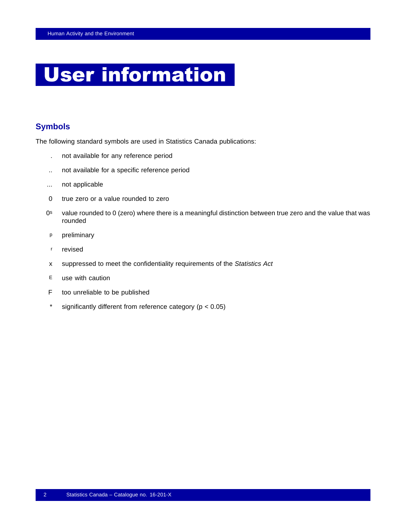## User information

## **Symbols**

The following standard symbols are used in Statistics Canada publications:

- . not available for any reference period
- .. not available for a specific reference period
- ... not applicable
- 0 true zero or a value rounded to zero
- 0s value rounded to 0 (zero) where there is a meaningful distinction between true zero and the value that was rounded
- p preliminary
- r revised
- x suppressed to meet the confidentiality requirements of the *Statistics Act*
- E use with caution
- F too unreliable to be published
- \* significantly different from reference category (p < 0.05)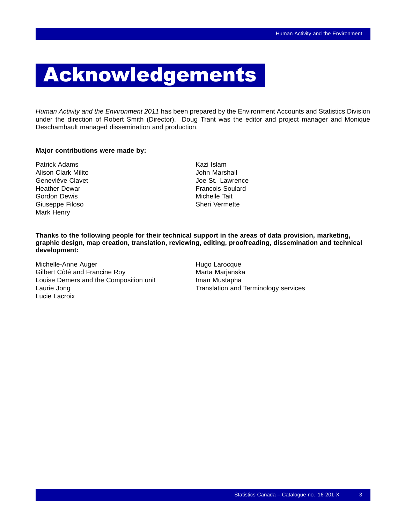## Acknowledgements

*Human Activity and the Environment 2011* has been prepared by the Environment Accounts and Statistics Division under the direction of Robert Smith (Director). Doug Trant was the editor and project manager and Monique Deschambault managed dissemination and production.

## **Major contributions were made by:**

- Patrick Adams **Kazi Islam** Alison Clark Milito **Alison Clark Milito** Alison John Marshall Heather Dewar **Francois** Soulard Gordon Dewis **Michelle Tait** Giuseppe Filoso **Sheri Vermette** Sheri Vermette Mark Henry
- Geneviève Clavet **Joe St. Lawrence**

**Thanks to the following people for their technical support in the areas of data provision, marketing, graphic design, map creation, translation, reviewing, editing, proofreading, dissemination and technical development:**

Michelle-Anne Auger **Hugo Larocque** Gilbert Côté and Francine Roy Marta Marianska Louise Demers and the Composition unit Iman Mustapha Laurie Jong Translation and Terminology services Lucie Lacroix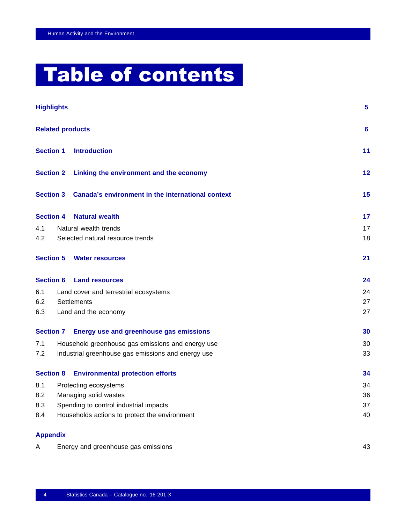# Table of contents

|     | <b>Highlights</b>                     |                                                    | $5^{\circ}$ |
|-----|---------------------------------------|----------------------------------------------------|-------------|
|     |                                       | <b>Related products</b>                            | 6           |
|     | <b>Section 1</b>                      | <b>Introduction</b>                                | 11          |
|     |                                       | Section 2 Linking the environment and the economy  | 12          |
|     | <b>Section 3</b>                      | Canada's environment in the international context  | 15          |
|     | <b>Section 4</b>                      | <b>Natural wealth</b>                              | 17          |
| 4.1 |                                       | Natural wealth trends                              | 17          |
| 4.2 |                                       | Selected natural resource trends                   | 18          |
|     | <b>Section 5</b>                      | <b>Water resources</b>                             | 21          |
|     | <b>Section 6</b>                      | <b>Land resources</b>                              | 24          |
| 6.1 | Land cover and terrestrial ecosystems |                                                    | 24          |
| 6.2 |                                       | Settlements                                        | 27          |
| 6.3 |                                       | Land and the economy                               | 27          |
|     |                                       | Section 7 Energy use and greenhouse gas emissions  | 30          |
| 7.1 |                                       | Household greenhouse gas emissions and energy use  | 30          |
| 7.2 |                                       | Industrial greenhouse gas emissions and energy use | 33          |
|     | <b>Section 8</b>                      | <b>Environmental protection efforts</b>            | 34          |
| 8.1 |                                       | Protecting ecosystems                              | 34          |
| 8.2 |                                       | Managing solid wastes                              | 36          |
| 8.3 |                                       | Spending to control industrial impacts             | 37          |
| 8.4 |                                       | Households actions to protect the environment      | 40          |
|     | <b>Appendix</b>                       |                                                    |             |
| A   |                                       | Energy and greenhouse gas emissions                | 43          |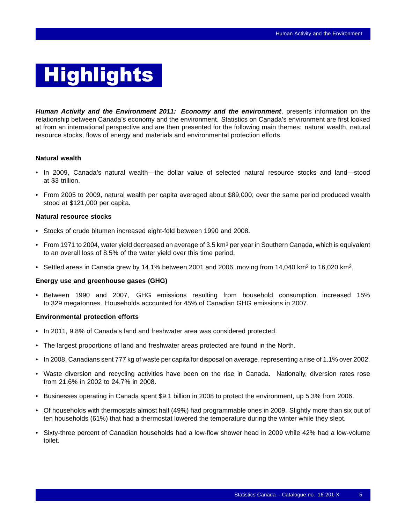# <span id="page-6-0"></span>**Highlights**

*Human Activity and the Environment 2011: Economy and the environment*, presents information on the relationship between Canada's economy and the environment. Statistics on Canada's environment are first looked at from an international perspective and are then presented for the following main themes: natural wealth, natural resource stocks, flows of energy and materials and environmental protection efforts.

## **Natural wealth**

- In 2009, Canada's natural wealth—the dollar value of selected natural resource stocks and land—stood at \$3 trillion.
- From 2005 to 2009, natural wealth per capita averaged about \$89,000; over the same period produced wealth stood at \$121,000 per capita.

## **Natural resource stocks**

- Stocks of crude bitumen increased eight-fold between 1990 and 2008.
- From 1971 to 2004, water yield decreased an average of 3.5 km<sup>3</sup> per year in Southern Canada, which is equivalent to an overall loss of 8.5% of the water yield over this time period.
- Settled areas in Canada grew by 14.1% between 2001 and 2006, moving from 14,040 km<sup>2</sup> to 16,020 km<sup>2</sup>.

## **Energy use and greenhouse gases (GHG)**

• Between 1990 and 2007, GHG emissions resulting from household consumption increased 15% to 329 megatonnes. Households accounted for 45% of Canadian GHG emissions in 2007.

### **Environmental protection efforts**

- In 2011, 9.8% of Canada's land and freshwater area was considered protected.
- The largest proportions of land and freshwater areas protected are found in the North.
- In 2008, Canadians sent 777 kg of waste per capita for disposal on average, representing a rise of 1.1% over 2002.
- Waste diversion and recycling activities have been on the rise in Canada. Nationally, diversion rates rose from 21.6% in 2002 to 24.7% in 2008.
- Businesses operating in Canada spent \$9.1 billion in 2008 to protect the environment, up 5.3% from 2006.
- Of households with thermostats almost half (49%) had programmable ones in 2009. Slightly more than six out of ten households (61%) that had a thermostat lowered the temperature during the winter while they slept.
- Sixty-three percent of Canadian households had a low-flow shower head in 2009 while 42% had a low-volume toilet.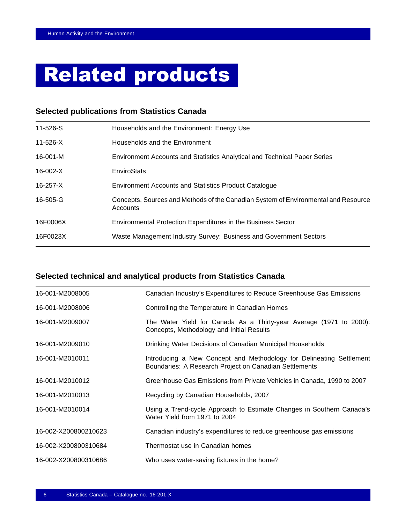## <span id="page-7-0"></span>Related products

## **Selected publications from Statistics Canada**

| 11-526-S       | Households and the Environment: Energy Use                                                     |
|----------------|------------------------------------------------------------------------------------------------|
| $11 - 526 - X$ | Households and the Environment                                                                 |
| 16-001-M       | Environment Accounts and Statistics Analytical and Technical Paper Series                      |
| 16-002-X       | EnviroStats                                                                                    |
| $16 - 257 - X$ | <b>Environment Accounts and Statistics Product Catalogue</b>                                   |
| 16-505-G       | Concepts, Sources and Methods of the Canadian System of Environmental and Resource<br>Accounts |
| 16F0006X       | Environmental Protection Expenditures in the Business Sector                                   |
| 16F0023X       | Waste Management Industry Survey: Business and Government Sectors                              |

## **Selected technical and analytical products from Statistics Canada**

| 16-001-M2008005      | Canadian Industry's Expenditures to Reduce Greenhouse Gas Emissions                                                            |
|----------------------|--------------------------------------------------------------------------------------------------------------------------------|
| 16-001-M2008006      | Controlling the Temperature in Canadian Homes                                                                                  |
| 16-001-M2009007      | The Water Yield for Canada As a Thirty-year Average (1971 to 2000):<br>Concepts, Methodology and Initial Results               |
| 16-001-M2009010      | Drinking Water Decisions of Canadian Municipal Households                                                                      |
| 16-001-M2010011      | Introducing a New Concept and Methodology for Delineating Settlement<br>Boundaries: A Research Project on Canadian Settlements |
| 16-001-M2010012      | Greenhouse Gas Emissions from Private Vehicles in Canada, 1990 to 2007                                                         |
| 16-001-M2010013      | Recycling by Canadian Households, 2007                                                                                         |
| 16-001-M2010014      | Using a Trend-cycle Approach to Estimate Changes in Southern Canada's<br>Water Yield from 1971 to 2004                         |
| 16-002-X200800210623 | Canadian industry's expenditures to reduce greenhouse gas emissions                                                            |
| 16-002-X200800310684 | Thermostat use in Canadian homes                                                                                               |
| 16-002-X200800310686 | Who uses water-saving fixtures in the home?                                                                                    |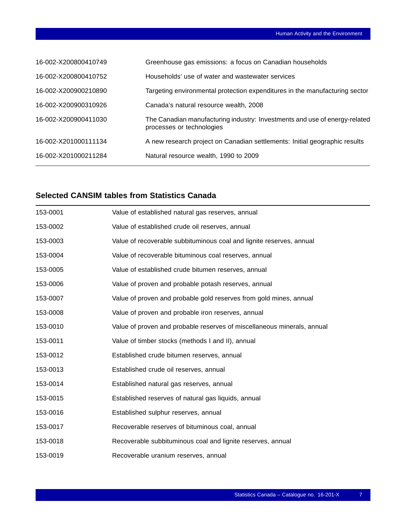| 16-002-X200800410749 | Greenhouse gas emissions: a focus on Canadian households                                                |
|----------------------|---------------------------------------------------------------------------------------------------------|
| 16-002-X200800410752 | Households' use of water and wastewater services                                                        |
| 16-002-X200900210890 | Targeting environmental protection expenditures in the manufacturing sector                             |
| 16-002-X200900310926 | Canada's natural resource wealth, 2008                                                                  |
| 16-002-X200900411030 | The Canadian manufacturing industry: Investments and use of energy-related<br>processes or technologies |
| 16-002-X201000111134 | A new research project on Canadian settlements: Initial geographic results                              |
| 16-002-X201000211284 | Natural resource wealth, 1990 to 2009                                                                   |

## **Selected CANSIM tables from Statistics Canada**

| 153-0001 | Value of established natural gas reserves, annual                       |
|----------|-------------------------------------------------------------------------|
| 153-0002 | Value of established crude oil reserves, annual                         |
| 153-0003 | Value of recoverable subbituminous coal and lignite reserves, annual    |
| 153-0004 | Value of recoverable bituminous coal reserves, annual                   |
| 153-0005 | Value of established crude bitumen reserves, annual                     |
| 153-0006 | Value of proven and probable potash reserves, annual                    |
| 153-0007 | Value of proven and probable gold reserves from gold mines, annual      |
| 153-0008 | Value of proven and probable iron reserves, annual                      |
| 153-0010 | Value of proven and probable reserves of miscellaneous minerals, annual |
| 153-0011 | Value of timber stocks (methods I and II), annual                       |
| 153-0012 | Established crude bitumen reserves, annual                              |
| 153-0013 | Established crude oil reserves, annual                                  |
| 153-0014 | Established natural gas reserves, annual                                |
| 153-0015 | Established reserves of natural gas liquids, annual                     |
| 153-0016 | Established sulphur reserves, annual                                    |
| 153-0017 | Recoverable reserves of bituminous coal, annual                         |
| 153-0018 | Recoverable subbituminous coal and lignite reserves, annual             |
| 153-0019 | Recoverable uranium reserves, annual                                    |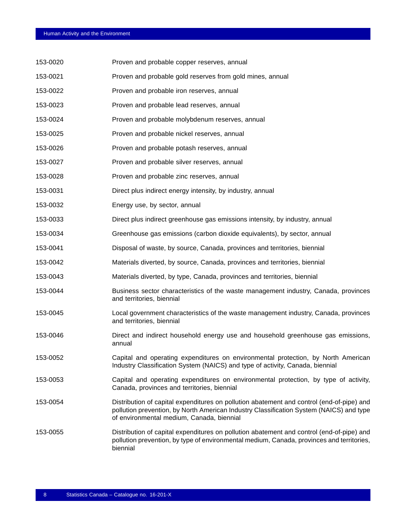| 153-0020 | Proven and probable copper reserves, annual                                                                                                                                                                                       |
|----------|-----------------------------------------------------------------------------------------------------------------------------------------------------------------------------------------------------------------------------------|
| 153-0021 | Proven and probable gold reserves from gold mines, annual                                                                                                                                                                         |
| 153-0022 | Proven and probable iron reserves, annual                                                                                                                                                                                         |
| 153-0023 | Proven and probable lead reserves, annual                                                                                                                                                                                         |
| 153-0024 | Proven and probable molybdenum reserves, annual                                                                                                                                                                                   |
| 153-0025 | Proven and probable nickel reserves, annual                                                                                                                                                                                       |
| 153-0026 | Proven and probable potash reserves, annual                                                                                                                                                                                       |
| 153-0027 | Proven and probable silver reserves, annual                                                                                                                                                                                       |
| 153-0028 | Proven and probable zinc reserves, annual                                                                                                                                                                                         |
| 153-0031 | Direct plus indirect energy intensity, by industry, annual                                                                                                                                                                        |
| 153-0032 | Energy use, by sector, annual                                                                                                                                                                                                     |
| 153-0033 | Direct plus indirect greenhouse gas emissions intensity, by industry, annual                                                                                                                                                      |
| 153-0034 | Greenhouse gas emissions (carbon dioxide equivalents), by sector, annual                                                                                                                                                          |
| 153-0041 | Disposal of waste, by source, Canada, provinces and territories, biennial                                                                                                                                                         |
| 153-0042 | Materials diverted, by source, Canada, provinces and territories, biennial                                                                                                                                                        |
| 153-0043 | Materials diverted, by type, Canada, provinces and territories, biennial                                                                                                                                                          |
| 153-0044 | Business sector characteristics of the waste management industry, Canada, provinces<br>and territories, biennial                                                                                                                  |
| 153-0045 | Local government characteristics of the waste management industry, Canada, provinces<br>and territories, biennial                                                                                                                 |
| 153-0046 | Direct and indirect household energy use and household greenhouse gas emissions,<br>annual                                                                                                                                        |
| 153-0052 | Capital and operating expenditures on environmental protection, by North American<br>Industry Classification System (NAICS) and type of activity, Canada, biennial                                                                |
| 153-0053 | Capital and operating expenditures on environmental protection, by type of activity,<br>Canada, provinces and territories, biennial                                                                                               |
| 153-0054 | Distribution of capital expenditures on pollution abatement and control (end-of-pipe) and<br>pollution prevention, by North American Industry Classification System (NAICS) and type<br>of environmental medium, Canada, biennial |
| 153-0055 | Distribution of capital expenditures on pollution abatement and control (end-of-pipe) and<br>pollution prevention, by type of environmental medium, Canada, provinces and territories,<br>biennial                                |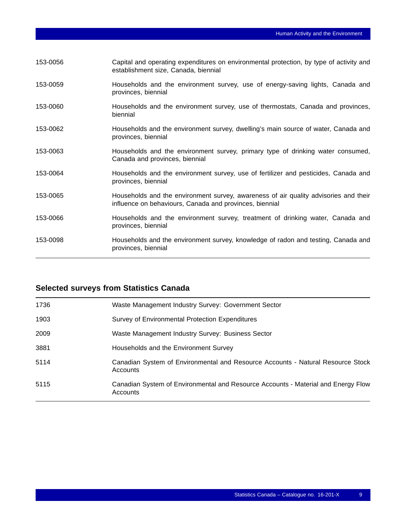| 153-0056 | Capital and operating expenditures on environmental protection, by type of activity and<br>establishment size, Canada, biennial                 |
|----------|-------------------------------------------------------------------------------------------------------------------------------------------------|
| 153-0059 | Households and the environment survey, use of energy-saving lights, Canada and<br>provinces, biennial                                           |
| 153-0060 | Households and the environment survey, use of thermostats, Canada and provinces,<br>biennial                                                    |
| 153-0062 | Households and the environment survey, dwelling's main source of water, Canada and<br>provinces, biennial                                       |
| 153-0063 | Households and the environment survey, primary type of drinking water consumed,<br>Canada and provinces, biennial                               |
| 153-0064 | Households and the environment survey, use of fertilizer and pesticides, Canada and<br>provinces, biennial                                      |
| 153-0065 | Households and the environment survey, awareness of air quality advisories and their<br>influence on behaviours, Canada and provinces, biennial |
| 153-0066 | Households and the environment survey, treatment of drinking water, Canada and<br>provinces, biennial                                           |
| 153-0098 | Households and the environment survey, knowledge of radon and testing, Canada and<br>provinces, biennial                                        |

## **Selected surveys from Statistics Canada**

| 1736 | Waste Management Industry Survey: Government Sector                                           |
|------|-----------------------------------------------------------------------------------------------|
| 1903 | Survey of Environmental Protection Expenditures                                               |
| 2009 | Waste Management Industry Survey: Business Sector                                             |
| 3881 | Households and the Environment Survey                                                         |
| 5114 | Canadian System of Environmental and Resource Accounts - Natural Resource Stock<br>Accounts   |
| 5115 | Canadian System of Environmental and Resource Accounts - Material and Energy Flow<br>Accounts |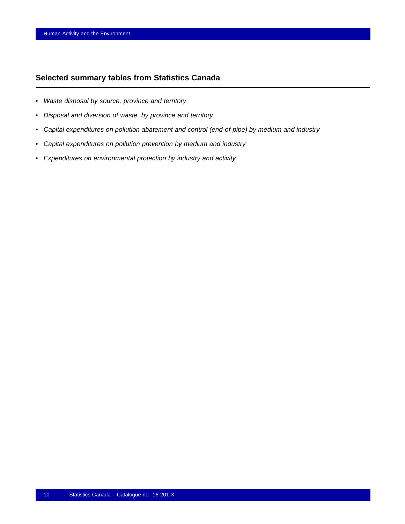## **Selected summary tables from Statistics Canada**

- *Waste disposal by source, province and territory*
- *Disposal and diversion of waste, by province and territory*
- *Capital expenditures on pollution abatement and control (end-of-pipe) by medium and industry*
- *Capital expenditures on pollution prevention by medium and industry*
- *Expenditures on environmental protection by industry and activity*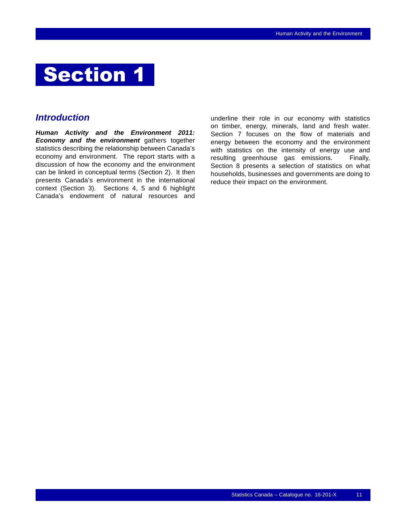<span id="page-12-0"></span>

## *Introduction*

*Human Activity and the Environment 2011: Economy and the environment* gathers together statistics describing the relationship between Canada's economy and environment. The report starts with a discussion of how the economy and the environment can be linked in conceptual terms (Section 2). It then presents Canada's environment in the international context (Section 3). Sections 4, 5 and 6 highlight Canada's endowment of natural resources and

underline their role in our economy with statistics on timber, energy, minerals, land and fresh water. Section 7 focuses on the flow of materials and energy between the economy and the environment with statistics on the intensity of energy use and resulting greenhouse gas emissions. Finally, Section 8 presents a selection of statistics on what households, businesses and governments are doing to reduce their impact on the environment.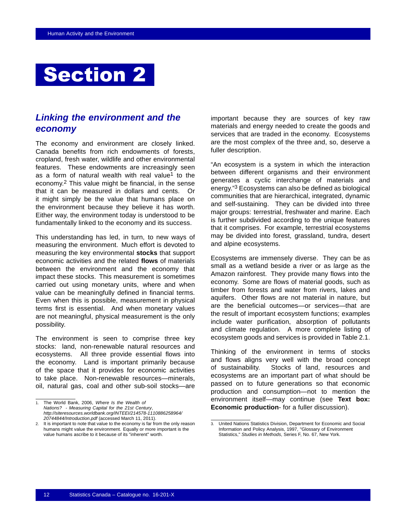## <span id="page-13-0"></span>**Section 2**

## *Linking the environment and the economy*

The economy and environment are closely linked. Canada benefits from rich endowments of forests, cropland, fresh water, wildlife and other environmental features. These endowments are increasingly seen as a form of natural wealth with real value<sup>1</sup> to the economy.2 This value might be financial, in the sense that it can be measured in dollars and cents. Or it might simply be the value that humans place on the environment because they believe it has worth. Either way, the environment today is understood to be fundamentally linked to the economy and its success.

This understanding has led, in turn, to new ways of measuring the environment. Much effort is devoted to measuring the key environmental **stocks** that support economic activities and the related **flows** of materials between the environment and the economy that impact these stocks. This measurement is sometimes carried out using monetary units, where and when value can be meaningfully defined in financial terms. Even when this is possible, measurement in physical terms first is essential. And when monetary values are not meaningful, physical measurement is the only possibility.

The environment is seen to comprise three key stocks: land, non-renewable natural resources and ecosystems. All three provide essential flows into the economy. Land is important primarily because of the space that it provides for economic activities to take place. Non-renewable resources—minerals, oil, natural gas, coal and other sub-soil stocks—are important because they are sources of key raw materials and energy needed to create the goods and services that are traded in the economy. Ecosystems are the most complex of the three and, so, deserve a fuller description.

"An ecosystem is a system in which the interaction between different organisms and their environment generates a cyclic interchange of materials and energy."3 Ecosystems can also be defined as biological communities that are hierarchical, integrated, dynamic and self-sustaining. They can be divided into three major groups: terrestrial, freshwater and marine. Each is further subdivided according to the unique features that it comprises. For example, terrestrial ecosystems may be divided into forest, grassland, tundra, desert and alpine ecosystems.

Ecosystems are immensely diverse. They can be as small as a wetland beside a river or as large as the Amazon rainforest. They provide many flows into the economy. Some are flows of material goods, such as timber from forests and water from rivers, lakes and aquifers. Other flows are not material in nature, but are the beneficial outcomes—or services—that are the result of important ecosystem functions; examples include water purification, absorption of pollutants and climate regulation. A more complete listing of ecosystem goods and services is provided in Table [2.1.](#page-15-0)

Thinking of the environment in terms of stocks and flows aligns very well with the broad concept of sustainability. Stocks of land, resources and ecosystems are an important part of what should be passed on to future generations so that economic production and consumption—not to mention the environment itself—may continue (see **Text box: Economic production**- for a fuller discussion).

<sup>1.</sup> The World Bank, 2006, *Where Is the Wealth of Nations? - Measuring Capital for the 21st Century*, *http://siteresources.worldbank.org/INTEEI/214578-1110886258964/ 20744844/Introduction.pdf* (accessed March 11, 2011).

<sup>2.</sup> It is important to note that value to the economy is far from the only reason humans might value the environment. Equally or more important is the value humans ascribe to it because of its "inherent" worth.

<sup>3.</sup> United Nations Statistics Division, Department for Economic and Social Information and Policy Analysis, 1997, "Glossary of Environment Statistics," *Studies in Methods*, Series F, No. 67, New York.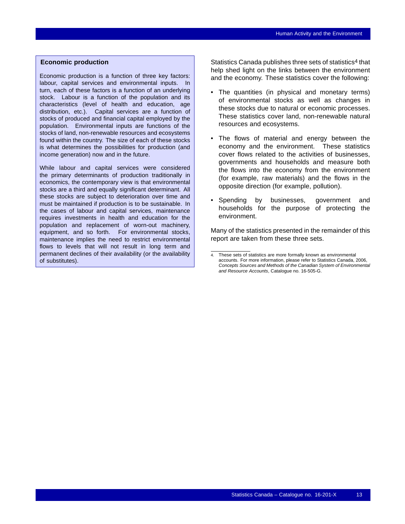## **Economic production**

Economic production is a function of three key factors: labour, capital services and environmental inputs. In turn, each of these factors is a function of an underlying stock. Labour is a function of the population and its characteristics (level of health and education, age distribution, etc.). Capital services are a function of stocks of produced and financial capital employed by the population. Environmental inputs are functions of the stocks of land, non-renewable resources and ecosystems found within the country. The size of each of these stocks is what determines the possibilities for production (and income generation) now and in the future.

While labour and capital services were considered the primary determinants of production traditionally in economics, the contemporary view is that environmental stocks are a third and equally significant determinant. All these stocks are subject to deterioration over time and must be maintained if production is to be sustainable. In the cases of labour and capital services, maintenance requires investments in health and education for the population and replacement of worn-out machinery, equipment, and so forth. For environmental stocks, maintenance implies the need to restrict environmental flows to levels that will not result in long term and permanent declines of their availability (or the availability of substitutes).

Statistics Canada publishes three sets of statistics<sup>4</sup> that help shed light on the links between the environment and the economy. These statistics cover the following:

- The quantities (in physical and monetary terms) of environmental stocks as well as changes in these stocks due to natural or economic processes. These statistics cover land, non-renewable natural resources and ecosystems.
- The flows of material and energy between the economy and the environment. These statistics cover flows related to the activities of businesses, governments and households and measure both the flows into the economy from the environment (for example, raw materials) and the flows in the opposite direction (for example, pollution).
- Spending by businesses, government and households for the purpose of protecting the environment.

Many of the statistics presented in the remainder of this report are taken from these three sets.

<sup>4.</sup> These sets of statistics are more formally known as environmental accounts. For more information, please refer to Statistics Canada, 2006, *Concepts Sources and Methods of the Canadian System of Environmental and Resource Accounts*, Catalogue no. 16-505-G.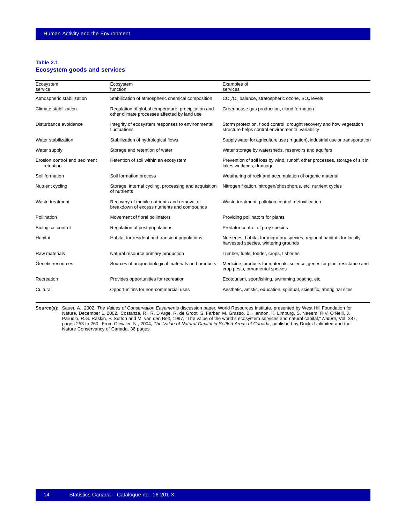#### <span id="page-15-0"></span>**Table 2.1 Ecosystem goods and services**

| Ecosystem<br>service                                      | Ecosystem<br>function                                                                               | Examples of<br>services                                                                                                   |  |  |  |  |
|-----------------------------------------------------------|-----------------------------------------------------------------------------------------------------|---------------------------------------------------------------------------------------------------------------------------|--|--|--|--|
| Atmospheric stabilization                                 | Stabilization of atmospheric chemical composition                                                   | $CO2/O2$ balance, stratospheric ozone, $SO2$ levels                                                                       |  |  |  |  |
| Climate stabilization                                     | Regulation of global temperature, precipitation and<br>other climate processes affected by land use | Greenhouse gas production, cloud formation                                                                                |  |  |  |  |
| Disturbance avoidance                                     | Integrity of ecosystem responses to environmental<br>fluctuations                                   | Storm protection, flood control, drought recovery and how vegetation<br>structure helps control environmental variability |  |  |  |  |
| Water stabilization                                       | Stabilization of hydrological flows                                                                 | Supply water for agriculture use (irrigation), industrial use or transportation                                           |  |  |  |  |
| Water supply                                              | Storage and retention of water                                                                      | Water storage by watersheds, reservoirs and aquifers                                                                      |  |  |  |  |
| Erosion control and sediment<br>retention                 | Retention of soil within an ecosystem                                                               | Prevention of soil loss by wind, runoff, other processes, storage of silt in<br>lakes, wetlands, drainage                 |  |  |  |  |
| Soil formation                                            | Soil formation process                                                                              | Weathering of rock and accumulation of organic material                                                                   |  |  |  |  |
| Nutrient cycling                                          | Storage, internal cycling, processing and acquisition<br>of nutrients                               | Nitrogen fixation, nitrogen/phosphorus, etc. nutrient cycles                                                              |  |  |  |  |
| Waste treatment                                           | Recovery of mobile nutrients and removal or<br>breakdown of excess nutrients and compounds          | Waste treatment, pollution control, detoxification                                                                        |  |  |  |  |
| Pollination                                               | Movement of floral pollinators                                                                      | Providing pollinators for plants                                                                                          |  |  |  |  |
| <b>Biological control</b>                                 | Regulation of pest populations                                                                      | Predator control of prey species                                                                                          |  |  |  |  |
| Habitat<br>Habitat for resident and transient populations |                                                                                                     | Nurseries, habitat for migratory species, regional habitats for locally<br>harvested species, wintering grounds           |  |  |  |  |
| Raw materials                                             | Natural resource primary production                                                                 | Lumber, fuels, fodder, crops, fisheries                                                                                   |  |  |  |  |
| Genetic resources                                         | Sources of unique biological materials and products                                                 | Medicine, products for materials, science, genes for plant resistance and<br>crop pests, ornamental species               |  |  |  |  |
| Recreation                                                | Provides opportunities for recreation                                                               | Ecotourism, sportfishing, swimming, boating, etc.                                                                         |  |  |  |  |
| Cultural                                                  | Opportunities for non-commercial uses                                                               | Aesthetic, artistic, education, spiritual, scientific, aboriginal sites                                                   |  |  |  |  |

**Source(s):** Sauer, A., 2002, *The Values of Conservation Easements* discussion paper, World Resources Institute, presented by West Hill Foundation for Nature, December 1, 2002. Costanza, R., R. D'Arge, R. de Groot, S. Farber, M. Grasso, B. Hannon, K. Limburg, S. Naeem, R.V. O'Neill, J.<br>Paruelo, R.G. Raskin, P. Sutton and M. van den Belt, 1997, "The value of the world's e Nature Conservancy of Canada, 36 pages.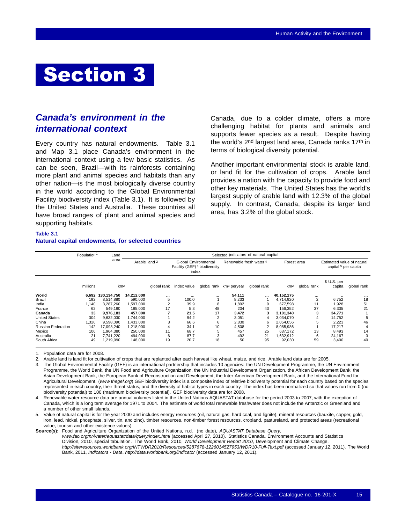## <span id="page-16-0"></span>Section 3

## *Canada's environment in the international context*

Every country has natural endowments. Table 3.1 and Map [3.1](#page-17-0) place Canada's environment in the international context using a few basic statistics. As can be seen, Brazil—with its rainforests containing more plant and animal species and habitats than any other nation—is the most biologically diverse country in the world according to the Global Environmental Facility biodiversity index (Table 3.1). It is followed by the United States and Australia. These countries all have broad ranges of plant and animal species and supporting habitats.

Canada, due to a colder climate, offers a more challenging habitat for plants and animals and supports fewer species as a result. Despite having the world's 2<sup>nd</sup> largest land area, Canada ranks 17<sup>th</sup> in terms of biological diversity potential.

Another important environmental stock is arable land, or land fit for the cultivation of crops. Arable land provides a nation with the capacity to provide food and other key materials. The United States has the world's largest supply of arable land with 12.3% of the global supply. In contrast, Canada, despite its larger land area, has 3.2% of the global stock.

**Table 3.1**

## **Natural capital endowments, for selected countries**

|                           | Population <sup>1</sup> | Land            | Selected indicators of natural capital |          |                                                                |    |                                     |             |                 |             |                                                               |             |
|---------------------------|-------------------------|-----------------|----------------------------------------|----------|----------------------------------------------------------------|----|-------------------------------------|-------------|-----------------|-------------|---------------------------------------------------------------|-------------|
|                           |                         | area            | Arable land 2                          |          | Global Environmental<br>Facility (GEF) 3 biodiversity<br>index |    | Renewable fresh water 4             |             | Forest area     |             | Estimated value of natural<br>capital <sup>5</sup> per capita |             |
|                           | millions                | km <sup>2</sup> |                                        |          | global rank index value                                        |    | global rank km <sup>3</sup> peryear | global rank | km <sup>2</sup> | global rank | \$ U.S. per<br>capita                                         | global rank |
| World                     | 6.692                   | 130,134,750     | 14,212,000                             | $\cdots$ | $\cdots$                                                       |    | 54,111                              | $\cdots$    | 40,152,175      | $\cdots$    |                                                               |             |
| Brazil                    | 192                     | 8.514.880       | 590,000                                | 5        | 100.0                                                          |    | 8,233                               |             | 4,714,920       | 2           | 6,752                                                         | 18          |
| India                     | 1.140                   | 3.287.260       | 1,597,000                              |          | 39.9                                                           | 8  | 1.892                               | 9           | 677.598         | 11          | 1.928                                                         | 51          |
| France                    | 62                      | 549.190         | 185,000                                | 17       | 5.3                                                            | 48 | 204                                 | 43          | 156,352         | 37          | 6,335                                                         | 21          |
| Canada                    | 33                      | 9.976.183       | 457.000                                |          | 21.5                                                           | 17 | 3.472                               |             | 3.101.340       |             | 34.771                                                        |             |
| <b>United States</b>      | 304                     | 9.632.030       | 1.744.000                              |          | 94.2                                                           |    | 3,051                               |             | 3.034.070       |             | 14,752                                                        | 5           |
| China                     | ,326                    | 9,598,090       | 1,433,000                              |          | 66.6                                                           | 6  | 2,830                               | 6           | 2,054,056       | 5           | 2,223                                                         | 46          |
| <b>Russian Federation</b> | 142                     | 17.098.240      | 1,218,000                              |          | 34.1                                                           | 10 | 4.508                               |             | 8.085.986       |             | 17.217                                                        | 4           |
| Mexico                    | 106                     | 1,964,380       | 250,000                                | 11       | 68.7                                                           |    | 457                                 | 25          | 637,172         | 13          | 8.493                                                         | 14          |
| Australia                 | 21                      | 7.741.220       | 494,000                                | 6        | 87.7                                                           |    | 492                                 | 21          | 1,632,912       | 6           | 24,167                                                        | 3           |
| South Africa              | 49                      | 1,219,090       | 148,000                                | 19       | 20.7                                                           | 18 | 50                                  | 95          | 92,030          | 59          | 3,400                                                         | 40          |

1. Population data are for 2008.

2. Arable land is land fit for cultivation of crops that are replanted after each harvest like wheat, maize, and rice. Arable land data are for 2005.

3. The Global Environmental Facility (GEF) is an international partnership that includes 10 agencies: the UN Development Programme, the UN Environment Programme, the World Bank, the UN Food and Agriculture Organization, the UN Industrial Development Organization, the African Development Bank, the Asian Development Bank, the European Bank of Reconstruction and Development, the Inter-American Development Bank, and the International Fund for Agricultural Development. (*www.thegef.org*) GEF biodiversity index is a composite index of relative biodiversity potential for each country based on the species represented in each country, their threat status, and the diversity of habitat types in each country. The index has been normalized so that values run from 0 (no biodiversity potential) to 100 (maximum biodiversity potential). GEF biodiversity data are for 2008.

4. Renewable water resource data are annual volumes listed in the United Nations AQUASTAT database for the period 2003 to 2007, with the exception of Canada, which is a long term average for 1971 to 2004. The estimate of world total renewable freshwater does not include the Antarctic or Greenland and a number of other small islands.

5. Value of natural capital is for the year 2000 and includes energy resources (oil, natural gas, hard coal, and lignite), mineral resources (bauxite, copper, gold, iron, lead, nickel, phosphate, silver, tin, and zinc), timber resources, non-timber forest resources, cropland, pastureland, and protected areas (recreational value, tourism and other existence values).

**Source(s):** Food and Agriculture Organization of the United Nations, n.d. (no date), *AQUASTAT Database Query*, *www.fao.org/nr/water/aquastat/data/query/index.html* (accessed April 27, 2010). Statistics Canada, Environment Accounts and Statistics Division, 2010, special tabulation. The World Bank, 2010, *World Development Report 2010*, Development and Climate Change, *http://siteresources.worldbank.org/INTWDR2010/Resources/5287678-1226014527953/WDR10-Full-Text.pdf* (accessed January 12, 2011). The World Bank, 2011, *Indicators - Data*, *http://data.worldbank.org/indicator* (accessed January 12, 2011).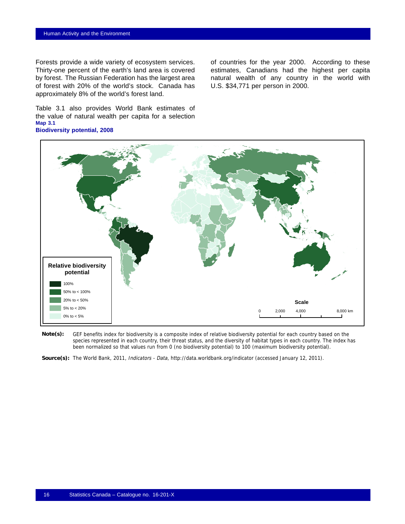<span id="page-17-0"></span>Forests provide a wide variety of ecosystem services. Thirty-one percent of the earth's land area is covered by forest. The Russian Federation has the largest area of forest with 20% of the world's stock. Canada has approximately 8% of the world's forest land.

Table [3.1](#page-16-0) also provides World Bank estimates of the value of natural wealth per capita for a selection **Map 3.1 Biodiversity potential, 2008**

of countries for the year 2000. According to these estimates, Canadians had the highest per capita natural wealth of any country in the world with U.S. \$34,771 per person in 2000.



GEF benefits index for biodiversity is a composite index of relative biodiversity potential for each country based on the species represented in each country, their threat status, and the diversity of habitat types in each country. The index has been normalized so that values run from 0 (no biodiversity potential) to 100 (maximum biodiversity potential). **Note(s):**

**Source(s):** The World Bank, 2011, Indicators - Data, http://data.worldbank.org/indicator (accessed January 12, 2011).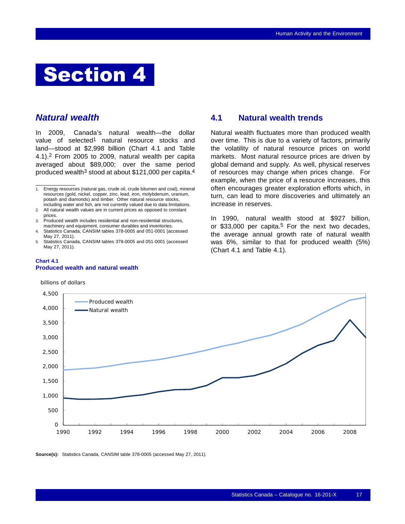## <span id="page-18-0"></span>Section 4

## *Natural wealth*

In 2009, Canada's natural wealth—the dollar value of selected<sup>1</sup> natural resource stocks and land—stood at \$2,998 billion (Chart 4.1 and Table [4.1\)](#page-19-0).2 From 2005 to 2009, natural wealth per capita averaged about \$89,000; over the same period produced wealth<sup>3</sup> stood at about \$121,000 per capita.<sup>4</sup>

#### **Chart 4.1 Produced wealth and natural wealth**

billions of dollars

## **4.1 Natural wealth trends**

Natural wealth fluctuates more than produced wealth over time. This is due to a variety of factors, primarily the volatility of natural resource prices on world markets. Most natural resource prices are driven by global demand and supply. As well, physical reserves of resources may change when prices change. For example, when the price of a resource increases, this often encourages greater exploration efforts which, in turn, can lead to more discoveries and ultimately an increase in reserves.

In 1990, natural wealth stood at \$927 billion, or \$33,000 per capita.<sup>5</sup> For the next two decades, the average annual growth rate of natural wealth was 6%, similar to that for produced wealth (5%) (Chart 4.1 and Table [4.1\)](#page-19-0).



**Source(s):** Statistics Canada, CANSIM table 378-0005 (accessed May 27, 2011).

<sup>1.</sup> Energy resources (natural gas, crude oil, crude bitumen and coal), mineral resources (gold, nickel, copper, zinc, lead, iron, molybdenum, uranium, potash and diamonds) and timber. Other natural resource stocks, including water and fish, are not currently valued due to data limitations.

<sup>2.</sup> All natural wealth values are in current prices as opposed to constant prices.

<sup>3.</sup> Produced wealth includes residential and non-residential structures, machinery and equipment, consumer durables and inventories.

<sup>4.</sup> Statistics Canada, CANSIM tables 378-0005 and 051-0001 (accessed May 27, 2011).

<sup>5.</sup> Statistics Canada, CANSIM tables 378-0005 and 051-0001 (accessed May 27, 2011).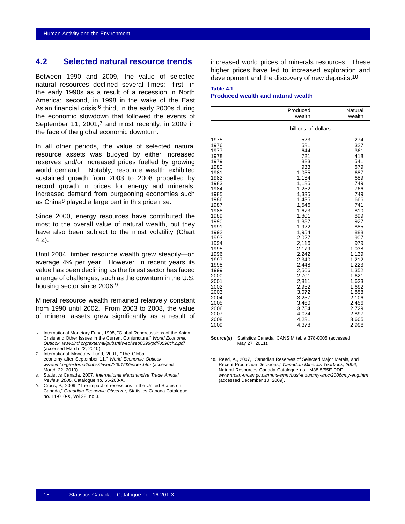## <span id="page-19-0"></span>**4.2 Selected natural resource trends**

Between 1990 and 2009, the value of selected natural resources declined several times: first, in the early 1990s as a result of a recession in North America; second, in 1998 in the wake of the East Asian financial crisis;6 third, in the early 2000s during the economic slowdown that followed the events of September 11, 2001;7 and most recently, in 2009 in the face of the global economic downturn.

In all other periods, the value of selected natural resource assets was buoyed by either increased reserves and/or increased prices fuelled by growing world demand. Notably, resource wealth exhibited sustained growth from 2003 to 2008 propelled by record growth in prices for energy and minerals. Increased demand from burgeoning economies such as China8 played a large part in this price rise.

Since 2000, energy resources have contributed the most to the overall value of natural wealth, but they have also been subject to the most volatility (Chart [4.2\)](#page-20-0).

Until 2004, timber resource wealth grew steadily—on average 4% per year. However, in recent years its value has been declining as the forest sector has faced a range of challenges, such as the downturn in the U.S. housing sector since 2006.9

Mineral resource wealth remained relatively constant from 1990 until 2002. From 2003 to 2008, the value of mineral assets grew significantly as a result of increased world prices of minerals resources. These higher prices have led to increased exploration and development and the discovery of new deposits.10

### **Table 4.1 Produced wealth and natural wealth**

|                                                                                                                                                                                                                                                                              | Produced<br>wealth                                                                                                                                                                                                                                                                                          | Natural<br>wealth                                                                                                                                                                                                                                                               |
|------------------------------------------------------------------------------------------------------------------------------------------------------------------------------------------------------------------------------------------------------------------------------|-------------------------------------------------------------------------------------------------------------------------------------------------------------------------------------------------------------------------------------------------------------------------------------------------------------|---------------------------------------------------------------------------------------------------------------------------------------------------------------------------------------------------------------------------------------------------------------------------------|
|                                                                                                                                                                                                                                                                              | billions of dollars                                                                                                                                                                                                                                                                                         |                                                                                                                                                                                                                                                                                 |
| 1975<br>1976<br>1977<br>1978<br>1979<br>1980<br>1981<br>1982<br>1983<br>1984<br>1985<br>1986<br>1987<br>1988<br>1989<br>1990<br>1991<br>1992<br>1993<br>1994<br>1995<br>1996<br>1997<br>1998<br>1999<br>2000<br>2001<br>2002<br>2003<br>2004<br>2005<br>2006<br>2007<br>2008 | 523<br>581<br>644<br>721<br>823<br>933<br>1,055<br>1,134<br>1,185<br>1,252<br>1,335<br>1,435<br>1,546<br>1,673<br>1,801<br>1,887<br>1,922<br>1,954<br>2,027<br>2,116<br>2,179<br>2,242<br>2,340<br>2,448<br>2,566<br>2,701<br>2,811<br>2,952<br>3,072<br>3,257<br>3,460<br>3,754<br>4,024<br>4,281<br>4,378 | 274<br>327<br>361<br>418<br>541<br>679<br>687<br>689<br>749<br>766<br>749<br>666<br>741<br>810<br>899<br>927<br>885<br>888<br>907<br>979<br>1,038<br>1,139<br>1,212<br>1,223<br>1,352<br>1,621<br>1,623<br>1,692<br>1,858<br>2,106<br>2,456<br>2,729<br>2,897<br>3,605<br>2,998 |
| 2009                                                                                                                                                                                                                                                                         |                                                                                                                                                                                                                                                                                                             |                                                                                                                                                                                                                                                                                 |

**Source(s):** Statistics Canada, CANSIM table 378-0005 (accessed May 27, 2011).

10. Reed, A., 2007, "Canadian Reserves of Selected Major Metals, and Recent Production Decisions," *Canadian Minerals Yearbook, 2006*, Natural Resources Canada Catalogue no. M38-5/55E-PDF, *www.nrcan-rncan.gc.ca/mms-smm/busi-indu/cmy-amc/2006cmy-eng.htm* (accessed December 10, 2009).

<sup>6.</sup> International Monetary Fund, 1998, "Global Repercussions of the Asian Crisis and Other Issues in the Current Conjuncture," *World Economic Outlook*, *www.imf.org/external/pubs/ft/weo/weo0598/pdf/0598ch2.pdf* (accessed March 22, 2010).

<sup>7.</sup> International Monetary Fund, 2001, "The Global economy after September 11," *World Economic Outlook*, *www.imf.org/external/pubs/ft/weo/2001/03/index.htm* (accessed March 22, 2010).

<sup>8.</sup> Statistics Canada, 2007, *International Merchandise Trade Annual Review, 2006*, Catalogue no. 65-208-X.

<sup>9.</sup> Cross, P., 2009, "The impact of recessions in the United States on Canada," *Canadian Economic Observer*, Statistics Canada Catalogue no. 11-010-X, Vol 22, no 3.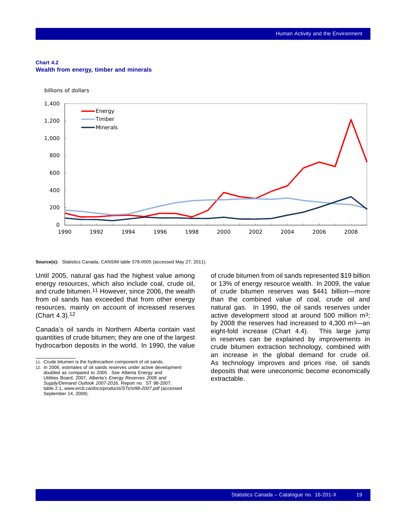#### <span id="page-20-0"></span>**Chart 4.2 Wealth from energy, timber and minerals**

billions of dollars

 $\Omega$ 200 400 600 800 1,000 1,200 1,400 1990 1992 1994 1996 1998 2000 2002 2004 2006 2008 Energy Timber Minerals

**Source(s):** Statistics Canada, CANSIM table 378-0005 (accessed May 27, 2011).

Until 2005, natural gas had the highest value among energy resources, which also include coal, crude oil, and crude bitumen.11 However, since 2006, the wealth from oil sands has exceeded that from other energy resources, mainly on account of increased reserves (Chart [4.3\)](#page-21-0).12

Canada's oil sands in Northern Alberta contain vast quantities of crude bitumen; they are one of the largest hydrocarbon deposits in the world. In 1990, the value

of crude bitumen from oil sands represented \$19 billion or 13% of energy resource wealth. In 2009, the value of crude bitumen reserves was \$441 billion—more than the combined value of coal, crude oil and natural gas. In 1990, the oil sands reserves under active development stood at around 500 million m3; by 2008 the reserves had increased to 4,300 m3—an eight-fold increase (Chart [4.4](#page-21-0)). This large jump in reserves can be explained by improvements in crude bitumen extraction technology, combined with an increase in the global demand for crude oil. As technology improves and prices rise, oil sands deposits that were uneconomic become economically extractable.

<sup>11.</sup> Crude bitumen is the hydrocarbon component of oil sands.

<sup>12.</sup> In 2006, estimates of oil sands reserves under active development doubled as compared to 2005. See Alberta Energy and Utilities Board, 2007, *Alberta's Energy Reserves 2006 and Supply/Demand Outlook 2007-2016,* Report no. ST 98-2007, table 2.1, *www.ercb.ca/docs/products/STs/st98-2007.pdf* (accessed September 14, 2009).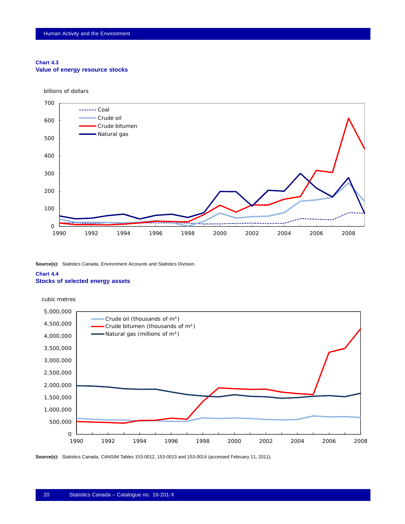#### <span id="page-21-0"></span>**Chart 4.3 Value of energy resource stocks**

billions of dollars



**Source(s):** Statistics Canada, Environment Accounts and Statistics Division.

## **Chart 4.4 Stocks of selected energy assets**



**Source(s):** Statistics Canada, CANSIM Tables 153-0012, 153-0013 and 153-0014 (accessed February 11, 2011).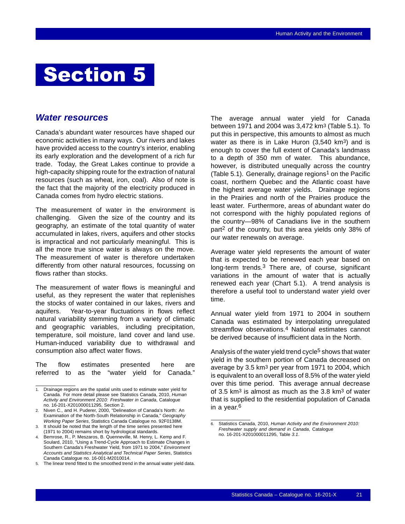## <span id="page-22-0"></span>Section 5

## *Water resources*

Canada's abundant water resources have shaped our economic activities in many ways. Our rivers and lakes have provided access to the country's interior, enabling its early exploration and the development of a rich fur trade. Today, the Great Lakes continue to provide a high-capacity shipping route for the extraction of natural resources (such as wheat, iron, coal). Also of note is the fact that the majority of the electricity produced in Canada comes from hydro electric stations.

The measurement of water in the environment is challenging. Given the size of the country and its geography, an estimate of the total quantity of water accumulated in lakes, rivers, aquifers and other stocks is impractical and not particularly meaningful. This is all the more true since water is always on the move. The measurement of water is therefore undertaken differently from other natural resources, focussing on flows rather than stocks.

The measurement of water flows is meaningful and useful, as they represent the water that replenishes the stocks of water contained in our lakes, rivers and aquifers. Year-to-year fluctuations in flows reflect natural variability stemming from a variety of climatic and geographic variables, including precipitation, temperature, soil moisture, land cover and land use. Human-induced variability due to withdrawal and consumption also affect water flows.

The flow estimates presented here are referred to as the "water yield for Canada."

3. It should be noted that the length of the time series presented here (1971 to 2004) remains short by hydrological standards.

The average annual water yield for Canada between 1971 and 2004 was 3,472 km3 (Table [5.1](#page-23-0)). To put this in perspective, this amounts to almost as much water as there is in Lake Huron (3,540 km<sup>3</sup>) and is enough to cover the full extent of Canada's landmass to a depth of 350 mm of water. This abundance, however, is distributed unequally across the country (Table [5.1](#page-23-0)). Generally, drainage regions<sup>1</sup> on the Pacific coast, northern Quebec and the Atlantic coast have the highest average water yields. Drainage regions in the Prairies and north of the Prairies produce the least water. Furthermore, areas of abundant water do not correspond with the highly populated regions of the country—98% of Canadians live in the southern part2 of the country, but this area yields only 38% of our water renewals on average.

Average water yield represents the amount of water that is expected to be renewed each year based on long-term trends.3 There are, of course, significant variations in the amount of water that is actually renewed each year (Chart [5.1](#page-24-0)). A trend analysis is therefore a useful tool to understand water yield over time.

Annual water yield from 1971 to 2004 in southern Canada was estimated by interpolating unregulated streamflow observations.4 National estimates cannot be derived because of insufficient data in the North.

Analysis of the water yield trend cycle<sup>5</sup> shows that water yield in the southern portion of Canada decreased on average by 3.5 km3 per year from 1971 to 2004, which is equivalent to an overall loss of 8.5% of the water yield over this time period. This average annual decrease of 3.5 km3 is almost as much as the 3.8 km3 of water that is supplied to the residential population of Canada in a year.6

<sup>1.</sup> Drainage regions are the spatial units used to estimate water yield for Canada. For more detail please see Statistics Canada, 2010, *Human Activity and Environment 2010: Freshwater in Canada*, Catalogue no. 16-201-X201000011295, Section 2.

<sup>2.</sup> Niven C., and H. Puderer, 2000, "Delineation of Canada's North: An Examination of the North-South Relationship in Canada," *Geography Working Paper Series*, Statistics Canada Catalogue no. 92F0138M.

Bemrose, R., P. Meszaros, B. Quenneville, M. Henry, L. Kemp and F. Soulard, 2010, "Using a Trend-Cycle Approach to Estimate Changes in Southern Canada's Freshwater Yield, from 1971 to 2004," *Environment Accounts and Statistics Analytical and Technical Paper Series*, Statistics Canada Catalogue no. 16-001-M2010014.

<sup>5.</sup> The linear trend fitted to the smoothed trend in the annual water yield data.

<sup>6.</sup> Statistics Canada, 2010, *Human Activity and the Environment 2010: Freshwater supply and demand in Canada*, Catalogue no. 16-201-X201000011295, Table *3.1*.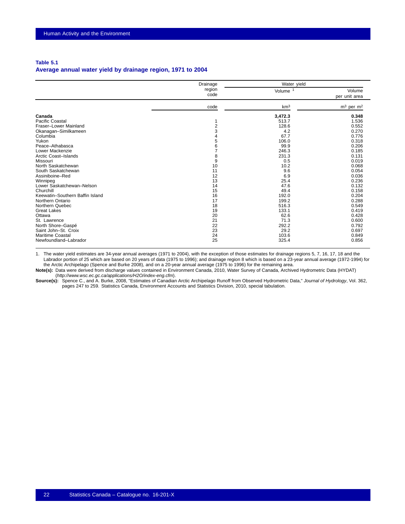#### <span id="page-23-0"></span>**Table 5.1**

### **Average annual water yield by drainage region, 1971 to 2004**

|                                 | Drainage       | Water yield         |                                   |
|---------------------------------|----------------|---------------------|-----------------------------------|
|                                 | region<br>code | Volume <sup>1</sup> | Volume<br>per unit area           |
|                                 | code           | km <sup>3</sup>     | m <sup>3</sup> per m <sup>2</sup> |
| Canada                          |                | 3,472.3             | 0.348                             |
| Pacific Coastal                 |                | 513.7               | 1.536                             |
| Fraser-Lower Mainland           | $\overline{2}$ | 128.6               | 0.552                             |
| Okanagan-Similkameen            | 3              | 4.2                 | 0.270                             |
| Columbia                        |                | 67.7                | 0.776                             |
| Yukon                           | 5              | 106.0               | 0.318                             |
| Peace-Athabasca                 | 6              | 99.9                | 0.206                             |
| Lower Mackenzie                 |                | 246.3               | 0.185                             |
| Arctic Coast-Islands            | 8              | 231.3               | 0.131                             |
| Missouri                        | 9              | 0.5                 | 0.019                             |
| North Saskatchewan              | 10             | 10.2                | 0.068                             |
| South Saskatchewan              | 11             | 9.6                 | 0.054                             |
| Assiniboine-Red                 | 12             | 6.9                 | 0.036                             |
| Winnipeg                        | 13             | 25.4                | 0.236                             |
| Lower Saskatchewan-Nelson       | 14             | 47.6                | 0.132                             |
| Churchill                       | 15             | 49.4                | 0.158                             |
| Keewatin-Southern Baffin Island | 16             | 192.0               | 0.204                             |
| Northern Ontario                | 17             | 199.2               | 0.288                             |
| Northern Quebec                 | 18             | 516.3               | 0.549                             |
| <b>Great Lakes</b>              | 19             | 133.1               | 0.419                             |
| Ottawa                          | 20             | 62.6                | 0.428                             |
| St. Lawrence                    | 21             | 71.3                | 0.600                             |
| North Shore-Gaspé               | 22             | 292.2               | 0.792                             |
| Saint John-St. Croix            | 23             | 29.2                | 0.697                             |
| <b>Maritime Coastal</b>         | 24             | 103.6               | 0.849                             |
| Newfoundland-Labrador           | 25             | 325.4               | 0.856                             |

1. The water yield estimates are 34-year annual averages (1971 to 2004), with the exception of those estimates for drainage regions 5, 7, 16, 17, 18 and the Labrador portion of 25 which are based on 20 years of data (1975 to 1996); and drainage region 8 which is based on a 23-year annual average (1972-1994) for the Arctic Archipelago (Spence and Burke 2008), and on a 20-year annual average (1975 to 1996) for the remaining area.

**Note(s):** Data were derived from discharge values contained in Environment Canada, 2010, Water Survey of Canada, Archived Hydrometric Data (HYDAT) (*http://www.wsc.ec.gc.ca/applications/H2O/index-eng.cfm*).

**Source(s):** Spence C., and A. Burke, 2008, "Estimates of Canadian Arctic Archipelago Runoff from Observed Hydrometric Data," *Journal of Hydrology*, Vol. 362, pages 247 to 259. Statistics Canada, Environment Accounts and Statistics Division, 2010, special tabulation.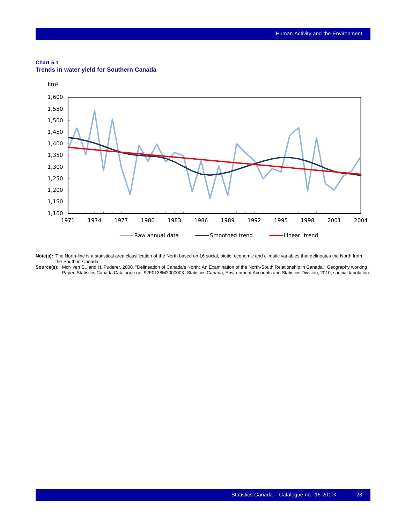## <span id="page-24-0"></span>**Chart 5.1**



### **Trends in water yield for Southern Canada**

**Note(s):** The North-line is a statistical area classification of the North based on 16 social, biotic, economic and climatic variables that delineates the North from the South in Canada.

**Source(s):** McNiven C., and H. Puderer, 2000, "Delineation of Canada's North: An Examination of the North-South Relationship in Canada," Geography working Paper, Statistics Canada Catalogue no. 92F0138M2000003. Statistics Canada, Environment Accounts and Statistics Division, 2010, special tabulation.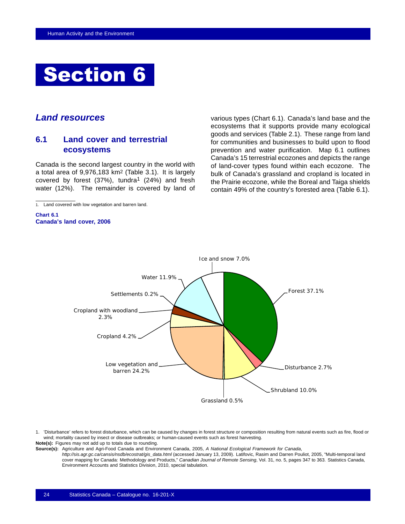<span id="page-25-0"></span>

## *Land resources*

## **6.1 Land cover and terrestrial ecosystems**

Canada is the second largest country in the world with a total area of 9,976,183 km2 (Table [3.1\)](#page-16-0). It is largely covered by forest  $(37%)$ , tundra<sup>1</sup>  $(24%)$  and fresh water (12%). The remainder is covered by land of

1. Land covered with low vegetation and barren land.

**Chart 6.1 Canada's land cover, 2006** various types (Chart 6.1). Canada's land base and the ecosystems that it supports provide many ecological goods and services (Table [2.1](#page-15-0)). These range from land for communities and businesses to build upon to flood prevention and water purification. Map [6.1](#page-27-0) outlines Canada's 15 terrestrial ecozones and depicts the range of land-cover types found within each ecozone. The bulk of Canada's grassland and cropland is located in the Prairie ecozone, while the Boreal and Taiga shields contain 49% of the country's forested area (Table [6.1\)](#page-26-0).



1. 'Disturbance' refers to forest disturbance, which can be caused by changes in forest structure or composition resulting from natural events such as fire, flood or wind; mortality caused by insect or disease outbreaks; or human-caused events such as forest harvesting.

**Note(s):** Figures may not add up to totals due to rounding.

**Source(s):** Agriculture and Agri-Food Canada and Environment Canada, 2005, *A National Ecological Framework for Canada*,

*http://sis.agr.gc.ca/cansis/nsdb/ecostrat/gis\_data.html* (accessed January 13, 2009). Latifovic, Rasim and Darren Pouliot, 2005, "Multi-temporal land cover mapping for Canada: Methodology and Products," *Canadian Journal of Remote Sensing*, Vol. 31, no. 5, pages 347 to 363. Statistics Canada, Environment Accounts and Statistics Division, 2010, special tabulation.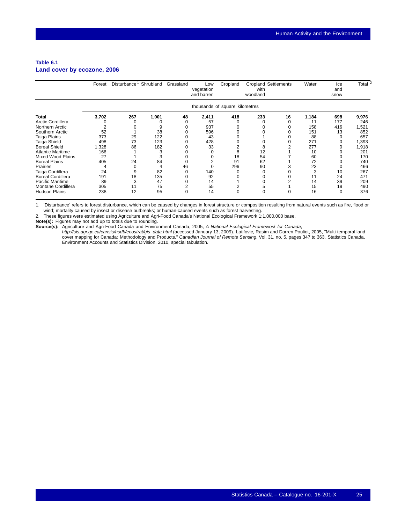#### <span id="page-26-0"></span>**Table 6.1 Land cover by ecozone, 2006**

|                          | Forest | Disturbance <sup>1</sup> Shrubland |       | Grassland | Low<br>vegetation<br>and barren | Cropland                       | with<br>woodland | <b>Cropland Settlements</b> | Water | Ice<br>and<br>snow | Total <sup>2</sup> |
|--------------------------|--------|------------------------------------|-------|-----------|---------------------------------|--------------------------------|------------------|-----------------------------|-------|--------------------|--------------------|
|                          |        |                                    |       |           |                                 | thousands of square kilometres |                  |                             |       |                    |                    |
| <b>Total</b>             | 3,702  | 267                                | 1,001 | 48        | 2,411                           | 418                            | 233              | 16                          | 1,184 | 698                | 9,976              |
| Arctic Cordillera        |        |                                    |       |           | 57                              |                                |                  |                             | 11    | 177                | 246                |
| Northern Arctic          |        |                                    |       |           | 937                             |                                |                  |                             | 158   | 416                | 1,521              |
| Southern Arctic          | 52     |                                    | 38    |           | 596                             |                                |                  |                             | 151   | 13                 | 852                |
| Taiga Plains             | 373    | 29                                 | 122   |           | 43                              |                                |                  |                             | 88    |                    | 657                |
| Taiga Shield             | 498    | 73                                 | 123   |           | 428                             |                                |                  |                             | 271   |                    | 1,393              |
| <b>Boreal Shield</b>     | 1,328  | 86                                 | 182   |           | 33                              |                                | 8                |                             | 277   |                    | 1,918              |
| <b>Atlantic Maritime</b> | 166    |                                    |       |           |                                 | 8                              | 12               |                             | 10    |                    | 201                |
| <b>Mixed Wood Plains</b> | 27     |                                    |       |           |                                 | 18                             | 54               |                             | 60    |                    | 170                |
| <b>Boreal Plains</b>     | 405    | 24                                 | 84    |           |                                 | 91                             | 62               |                             | 72    |                    | 740                |
| Prairies                 |        | $\Omega$                           |       | 46        |                                 | 296                            | 90               |                             | 23    |                    | 466                |
| Taiga Cordillera         | 24     | 9                                  | 82    |           | 140                             |                                |                  |                             | 3     | 10                 | 267                |
| <b>Boreal Cordillera</b> | 191    | 18                                 | 135   |           | 92                              |                                |                  |                             | 11    | 24                 | 471                |
| <b>Pacific Maritime</b>  | 89     |                                    | 47    |           | 14                              |                                |                  |                             | 14    | 39                 | 209                |
| Montane Cordillera       | 305    | 11                                 | 75    |           | 55                              |                                | 5                |                             | 15    | 19                 | 490                |
| <b>Hudson Plains</b>     | 238    | 12                                 | 95    | 0         | 14                              |                                | O                | O                           | 16    | 0                  | 376                |

1. 'Disturbance' refers to forest disturbance, which can be caused by changes in forest structure or composition resulting from natural events such as fire, flood or wind; mortality caused by insect or disease outbreaks; or human-caused events such as forest harvesting.

2. These figures were estimated using Agriculture and Agri-Food Canada's National Ecological Framework 1:1,000,000 base.

**Note(s):** Figures may not add up to totals due to rounding.

**Source(s):** Agriculture and Agri-Food Canada and Environment Canada, 2005, *A National Ecological Framework for Canada*,

*http://sis.agr.gc.ca/cansis/nsdb/ecostrat/gis\_data.html* (accessed January 13, 2009). Latifovic, Rasim and Darren Pouliot, 2005, "Multi-temporal land<br>cover mapping for Canada: Methodology and Products," *Canadian Journal* Environment Accounts and Statistics Division, 2010, special tabulation.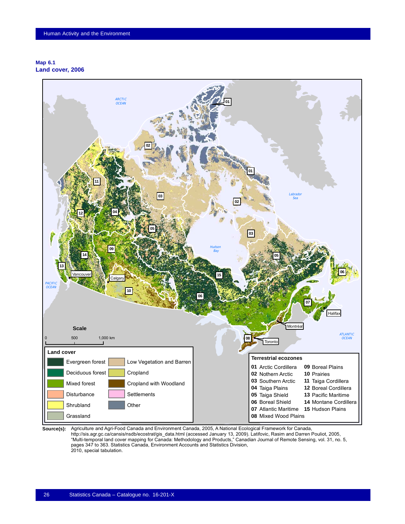### <span id="page-27-0"></span>**Map 6.1 Land cover, 2006**



Source(s): Agriculture and Agri-Food Canada and Environment Canada, 2005, A National Ecological Framework for Canada, http://sis.agr.gc.ca/cansis/nsdb/ecostrat/gis\_data.html (accessed January 13, 2009). Latifovic, Rasim and Darren Pouliot, 2005, "Multi-temporal land cover mapping for Canada: Methodology and Products," Canadian Journal of Remote Sensing, vol. 31, no. 5, pages 347 to 363. Statistics Canada, Environment Accounts and Statistics Division, 2010, special tabulation.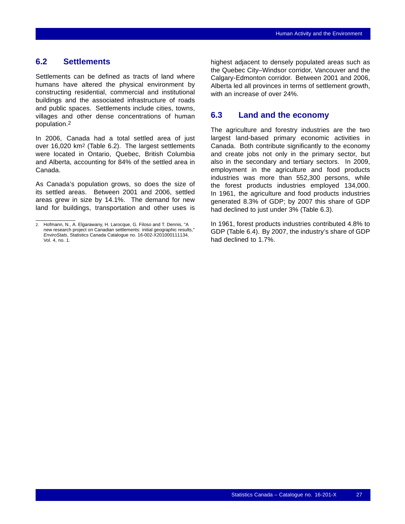## <span id="page-28-0"></span>**6.2 Settlements**

Settlements can be defined as tracts of land where humans have altered the physical environment by constructing residential, commercial and institutional buildings and the associated infrastructure of roads and public spaces. Settlements include cities, towns, villages and other dense concentrations of human population.2

In 2006, Canada had a total settled area of just over 16,020 km2 (Table [6.2\)](#page-29-0). The largest settlements were located in Ontario, Quebec, British Columbia and Alberta, accounting for 84% of the settled area in Canada.

As Canada's population grows, so does the size of its settled areas. Between 2001 and 2006, settled areas grew in size by 14.1%. The demand for new land for buildings, transportation and other uses is highest adjacent to densely populated areas such as the Quebec City–Windsor corridor, Vancouver and the Calgary-Edmonton corridor. Between 2001 and 2006, Alberta led all provinces in terms of settlement growth, with an increase of over 24%.

## **6.3 Land and the economy**

The agriculture and forestry industries are the two largest land-based primary economic activities in Canada. Both contribute significantly to the economy and create jobs not only in the primary sector, but also in the secondary and tertiary sectors. In 2009, employment in the agriculture and food products industries was more than 552,300 persons, while the forest products industries employed 134,000. In 1961, the agriculture and food products industries generated 8.3% of GDP; by 2007 this share of GDP had declined to just under 3% (Table [6.3](#page-29-0)).

In 1961, forest products industries contributed 4.8% to GDP (Table [6.4\)](#page-30-0). By 2007, the industry's share of GDP had declined to 1.7%.

<sup>2.</sup> Hofmann, N., A. Elgarawany, H. Larocque, G. Filoso and T. Dennis, "A new research project on Canadian settlements: initial geographic results," *EnviroStats*, Statistics Canada Catalogue no. 16-002-X201000111134, Vol. 4, no. 1.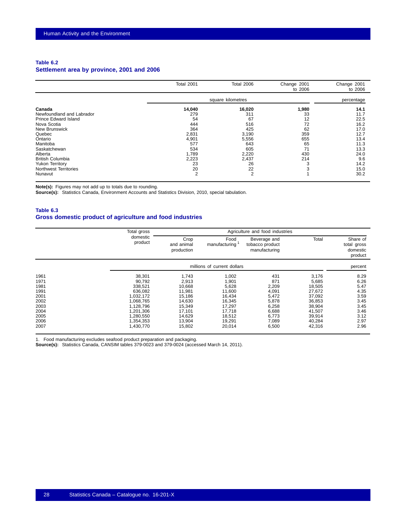#### <span id="page-29-0"></span>**Table 6.2 Settlement area by province, 2001 and 2006**

|                                                                                                                                     | Total 2001                                                 | <b>Total 2006</b>                                          | Change 2001<br>to 2006                      | Change 2001<br>to 2006                               |
|-------------------------------------------------------------------------------------------------------------------------------------|------------------------------------------------------------|------------------------------------------------------------|---------------------------------------------|------------------------------------------------------|
|                                                                                                                                     |                                                            | square kilometres                                          |                                             | percentage                                           |
| Canada<br>Newfoundland and Labrador<br>Prince Edward Island<br>Nova Scotia<br><b>New Brunswick</b><br>Quebec<br>Ontario             | 14,040<br>279<br>54<br>444<br>364<br>2,831<br>4,901        | 16,020<br>311<br>67<br>516<br>425<br>3,190<br>5,556        | 1,980<br>33<br>12<br>72<br>62<br>359<br>655 | 14.1<br>11.7<br>22.5<br>16.2<br>17.0<br>12.7<br>13.4 |
| Manitoba<br>Saskatchewan<br>Alberta<br><b>British Columbia</b><br><b>Yukon Territory</b><br><b>Northwest Territories</b><br>Nunavut | 577<br>534<br>1,789<br>2,223<br>23<br>20<br>$\overline{2}$ | 643<br>605<br>2,220<br>2,437<br>26<br>22<br>$\overline{2}$ | 65<br>71<br>430<br>214                      | 11.3<br>13.3<br>24.0<br>9.6<br>14.2<br>15.0<br>30.2  |

**Note(s):** Figures may not add up to totals due to rounding.

**Source(s):** Statistics Canada, Environment Accounts and Statistics Division, 2010, special tabulation.

### **Table 6.3 Gross domestic product of agriculture and food industries**

|                                                                                      | Total gross                                                                                                                       |                                                                                                          |                                                                                                         | Agriculture and food industries                                                             |                                                                                                          |                                                                                      |
|--------------------------------------------------------------------------------------|-----------------------------------------------------------------------------------------------------------------------------------|----------------------------------------------------------------------------------------------------------|---------------------------------------------------------------------------------------------------------|---------------------------------------------------------------------------------------------|----------------------------------------------------------------------------------------------------------|--------------------------------------------------------------------------------------|
|                                                                                      | domestic<br>product                                                                                                               | Crop<br>and animal<br>production                                                                         | Food<br>manufacturing                                                                                   | Beverage and<br>tobacco product<br>manufacturing                                            | Total                                                                                                    | Share of<br>total gross<br>domestic<br>product                                       |
|                                                                                      |                                                                                                                                   |                                                                                                          | millions of current dollars                                                                             |                                                                                             |                                                                                                          | percent                                                                              |
| 1961<br>1971<br>1981<br>1991<br>2001<br>2002<br>2003<br>2004<br>2005<br>2006<br>2007 | 38,301<br>90,792<br>338,521<br>636.082<br>1,032,172<br>1.068.765<br>1,128,796<br>1.201.306<br>1,280,550<br>1,354,353<br>1,430,770 | 1,743<br>2,913<br>10,668<br>11.981<br>15,186<br>14,630<br>15,349<br>17.101<br>14,629<br>13,904<br>15,802 | 1,002<br>1,901<br>5,628<br>11.600<br>16,434<br>16,345<br>17,297<br>17,718<br>18,512<br>19,291<br>20,014 | 431<br>871<br>2,209<br>4,091<br>5,472<br>5,878<br>6,258<br>6,688<br>6,773<br>7,089<br>6,500 | 3,176<br>5,685<br>18,505<br>27,672<br>37,092<br>36,853<br>38,904<br>41,507<br>39,914<br>40,284<br>42,316 | 8.29<br>6.26<br>5.47<br>4.35<br>3.59<br>3.45<br>3.45<br>3.46<br>3.12<br>2.97<br>2.96 |

1. Food manufacturing excludes seafood product preparation and packaging.

**Source(s):** Statistics Canada, CANSIM tables 379-0023 and 379-0024 (accessed March 14, 2011).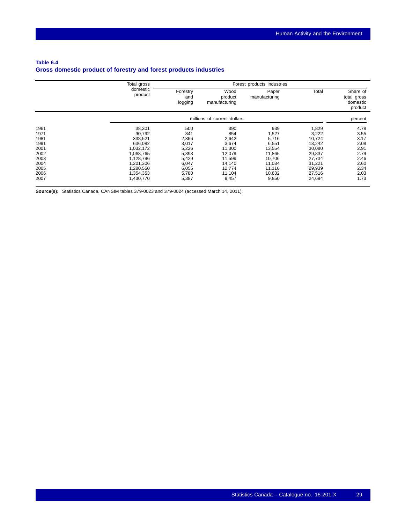## <span id="page-30-0"></span>**Table 6.4 Gross domestic product of forestry and forest products industries**

|      | Total gross         |                            | Forest products industries       |                        |        |                                                |
|------|---------------------|----------------------------|----------------------------------|------------------------|--------|------------------------------------------------|
|      | domestic<br>product | Forestry<br>and<br>logging | Wood<br>product<br>manufacturing | Paper<br>manufacturing | Total  | Share of<br>total gross<br>domestic<br>product |
|      |                     |                            | millions of current dollars      |                        |        | percent                                        |
| 1961 | 38,301              | 500                        | 390                              | 939                    | 1,829  | 4.78                                           |
| 1971 | 90,792              | 841                        | 854                              | 1,527                  | 3,222  | 3.55                                           |
| 1981 | 338,521             | 2,366                      | 2,642                            | 5,716                  | 10,724 | 3.17                                           |
| 1991 | 636,082             | 3,017                      | 3,674                            | 6,551                  | 13,242 | 2.08                                           |
| 2001 | 1,032,172           | 5,226                      | 11,300                           | 13,554                 | 30,080 | 2.91                                           |
| 2002 | 1,068,765           | 5,893                      | 12,079                           | 11,865                 | 29,837 | 2.79                                           |
| 2003 | 1,128,796           | 5,429                      | 11,599                           | 10,706                 | 27,734 | 2.46                                           |
| 2004 | 1,201,306           | 6,047                      | 14,140                           | 11,034                 | 31,221 | 2.60                                           |
| 2005 | 1,280,550           | 6,055                      | 12,774                           | 11,110                 | 29,939 | 2.34                                           |
| 2006 | 1,354,353           | 5,780                      | 11,104                           | 10,632                 | 27,516 | 2.03                                           |
| 2007 | 1,430,770           | 5,387                      | 9,457                            | 9,850                  | 24,694 | 1.73                                           |

**Source(s):** Statistics Canada, CANSIM tables 379-0023 and 379-0024 (accessed March 14, 2011).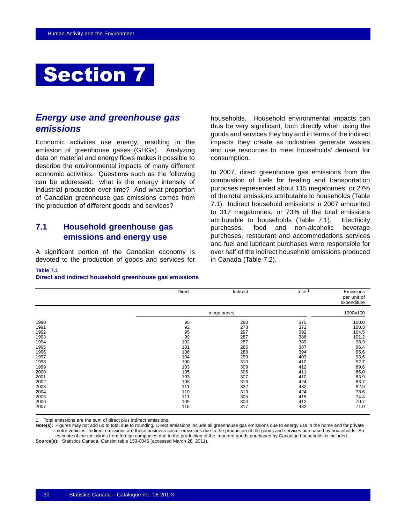## <span id="page-31-0"></span>Section 7

## *Energy use and greenhouse gas emissions*

Economic activities use energy, resulting in the emission of greenhouse gases (GHGs). Analyzing data on material and energy flows makes it possible to describe the environmental impacts of many different economic activities. Questions such as the following can be addressed: what is the energy intensity of industrial production over time? And what proportion of Canadian greenhouse gas emissions comes from the production of different goods and services?

## **7.1 Household greenhouse gas emissions and energy use**

A significant portion of the Canadian economy is devoted to the production of goods and services for households. Household environmental impacts can thus be very significant, both directly when using the goods and services they buy and in terms of the indirect impacts they create as industries generate wastes and use resources to meet households' demand for consumption.

In 2007, direct greenhouse gas emissions from the combustion of fuels for heating and transportation purposes represented about 115 megatonnes, or 27% of the total emissions attributable to households (Table 7.1). Indirect household emissions in 2007 amounted to 317 megatonnes, or 73% of the total emissions attributable to households (Table 7.1). Electricity purchases, food and non-alcoholic beverage purchases, restaurant and accommodations services and fuel and lubricant purchases were responsible for over half of the indirect household emissions produced in Canada (Table [7.2](#page-32-0)).

#### **Table 7.1**

**Direct and indirect household greenhouse gas emissions**

|      | Direct | Indirect   | Total <sup>1</sup> | Emissions<br>per unit of<br>expenditure |
|------|--------|------------|--------------------|-----------------------------------------|
|      |        | megatonnes |                    | 1990=100                                |
| 1990 | 95     | 280        | 375                | 100.0                                   |
| 1991 | 92     | 278        | 371                | 100.3                                   |
| 1992 | 95     | 297        | 392                | 104.5                                   |
| 1993 | 99     | 287        | 386                | 101.2                                   |
| 1994 | 102    | 287        | 389                | 98.9                                    |
| 1995 | 101    | 286        | 387                | 96.4                                    |
| 1996 | 106    | 288        | 394                | 95.6                                    |
| 1997 | 104    | 299        | 403                | 93.6                                    |
| 1998 | 100    | 310        | 410                | 92.7                                    |
| 1999 | 103    | 309        | 412                | 89.6                                    |
| 2000 | 105    | 306        | 411                | 86.0                                    |
| 2001 | 103    | 307        | 410                | 83.9                                    |
| 2002 | 108    | 316        | 424                | 83.7                                    |
| 2003 | 111    | 322        | 432                | 82.9                                    |
| 2004 | 110    | 313        | 424                | 78.6                                    |
| 2005 | 111    | 305        | 415                | 74.4                                    |
| 2006 | 109    | 303        | 412                | 70.7                                    |
| 2007 | 115    | 317        | 432                | 71.0                                    |

1. Total emissions are the sum of direct plus indirect emissions.

**Note(s):** Figures may not add up to total due to rounding. Direct emissions include all greenhouse gas emissions due to energy use in the home and for private motor vehicles. Indirect emissions are those business-sector emissions due to the production of the goods and services purchased by households. An estimate of the emissions from foreign companies due to the production of the imported goods purchased by Canadian households is included. **Source(s):** Statistics Canada, Cansim table 153-0046 (accessed March 28, 2011).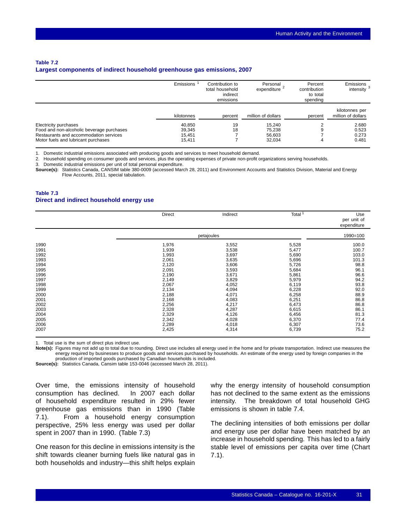#### <span id="page-32-0"></span>**Table 7.2 Largest components of indirect household greenhouse gas emissions, 2007**

|                                                                                                                                                     | Emissions                            | Contribution to<br>total household<br>indirect<br>emissions | Personal<br>expenditure <sup>2</sup> | Percent<br>contribution<br>to total<br>spending | <b>Emissions</b><br>intensity $3$    |
|-----------------------------------------------------------------------------------------------------------------------------------------------------|--------------------------------------|-------------------------------------------------------------|--------------------------------------|-------------------------------------------------|--------------------------------------|
|                                                                                                                                                     | kilotonnes                           | percent                                                     | million of dollars                   | percent                                         | kilotonnes per<br>million of dollars |
| Electricity purchases<br>Food and non-alcoholic beverage purchases<br>Restaurants and accommodation services<br>Motor fuels and lubricant purchases | 40,850<br>39,345<br>15.451<br>15.411 | 19<br>18                                                    | 15.240<br>75,238<br>56,603<br>32,034 | 9<br>4                                          | 2.680<br>0.523<br>0.273<br>0.481     |

1. Domestic industrial emissions associated with producing goods and services to meet household demand.

2. Household spending on consumer goods and services, plus the operating expenses of private non-profit organizations serving households.

3. Domestic industrial emissions per unit of total personal expenditure.

**Source(s):** Statistics Canada, CANSIM table 380-0009 (accessed March 28, 2011) and Environment Accounts and Statistics Division, Material and Energy Flow Accounts, 2011, special tabulation.

#### **Table 7.3 Direct and indirect household energy use**

|                                                                                                                                              | Direct                                                                                                                                                         | Indirect                                                                                                                                                       | Total <sup>1</sup>                                                                                                                                             | Use<br>per unit of<br>expenditure                                                                                                                |
|----------------------------------------------------------------------------------------------------------------------------------------------|----------------------------------------------------------------------------------------------------------------------------------------------------------------|----------------------------------------------------------------------------------------------------------------------------------------------------------------|----------------------------------------------------------------------------------------------------------------------------------------------------------------|--------------------------------------------------------------------------------------------------------------------------------------------------|
|                                                                                                                                              |                                                                                                                                                                | petajoules                                                                                                                                                     |                                                                                                                                                                | 1990=100                                                                                                                                         |
| 1990<br>1991<br>1992<br>1993<br>1994<br>1995<br>1996<br>1997<br>1998<br>1999<br>2000<br>2001<br>2002<br>2003<br>2004<br>2005<br>2006<br>2007 | 1,976<br>1,939<br>1,993<br>2,061<br>2,120<br>2,091<br>2,190<br>2,149<br>2,067<br>2,134<br>2,188<br>2,168<br>2,256<br>2,328<br>2,329<br>2,342<br>2,289<br>2,425 | 3,552<br>3,538<br>3,697<br>3,635<br>3,606<br>3,593<br>3,671<br>3,829<br>4,052<br>4,094<br>4,071<br>4,083<br>4,217<br>4,287<br>4,126<br>4,028<br>4,018<br>4,314 | 5,528<br>5,477<br>5,690<br>5,696<br>5,726<br>5,684<br>5,861<br>5,979<br>6,119<br>6,228<br>6,258<br>6,251<br>6,473<br>6,615<br>6,456<br>6,370<br>6,307<br>6,739 | 100.0<br>100.7<br>103.0<br>101.3<br>98.8<br>96.1<br>96.6<br>94.2<br>93.8<br>92.0<br>88.9<br>86.8<br>86.8<br>86.1<br>81.3<br>77.4<br>73.6<br>75.2 |

1. Total use is the sum of direct plus indirect use.

**Note(s):** Figures may not add up to total due to rounding. Direct use includes all energy used in the home and for private transportation. Indirect use measures the energy required by businesses to produce goods and services purchased by households. An estimate of the energy used by foreign companies in the production of imported goods purchased by Canadian households is included.

**Source(s):** Statistics Canada, Cansim table 153-0046 (accessed March 28, 2011).

Over time, the emissions intensity of household consumption has declined. In 2007 each dollar of household expenditure resulted in 29% fewer greenhouse gas emissions than in 1990 (Table [7.1\)](#page-31-0). From a household energy consumption perspective, 25% less energy was used per dollar spent in 2007 than in 1990. (Table 7.3)

One reason for this decline in emissions intensity is the shift towards cleaner burning fuels like natural gas in both households and industry—this shift helps explain

why the energy intensity of household consumption has not declined to the same extent as the emissions intensity. The breakdown of total household GHG emissions is shown in table [7.4](#page-33-0).

The declining intensities of both emissions per dollar and energy use per dollar have been matched by an increase in household spending. This has led to a fairly stable level of emissions per capita over time (Chart [7.1\)](#page-33-0).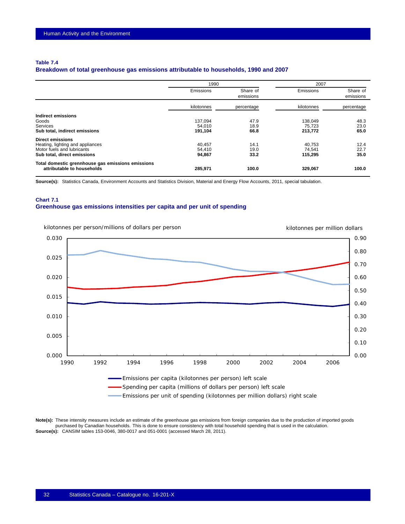#### <span id="page-33-0"></span>**Table 7.4**

### **Breakdown of total greenhouse gas emissions attributable to households, 1990 and 2007**

|                                                                                                                          | 1990                         |                       | 2007                         |                       |
|--------------------------------------------------------------------------------------------------------------------------|------------------------------|-----------------------|------------------------------|-----------------------|
|                                                                                                                          | Emissions                    | Share of<br>emissions | Emissions                    | Share of<br>emissions |
|                                                                                                                          | kilotonnes                   | percentage            | kilotonnes                   | percentage            |
| Indirect emissions<br>Goods<br><b>Services</b><br>Sub total, indirect emissions                                          | 137,094<br>54.010<br>191,104 | 47.9<br>18.9<br>66.8  | 138,049<br>75.723<br>213,772 | 48.3<br>23.0<br>65.0  |
| <b>Direct emissions</b><br>Heating, lighting and appliances<br>Motor fuels and lubricants<br>Sub total, direct emissions | 40.457<br>54,410<br>94,867   | 14.1<br>19.0<br>33.2  | 40.753<br>74.541<br>115,295  | 12.4<br>22.7<br>35.0  |
| Total domestic grennhouse gas emissions emissions<br>attributable to households                                          | 285,971                      | 100.0                 | 329,067                      | 100.0                 |

**Source(s):** Statistics Canada, Environment Accounts and Statistics Division, Material and Energy Flow Accounts, 2011, special tabulation.

## **Chart 7.1 Greenhouse gas emissions intensities per capita and per unit of spending**



**Note(s):** These intensity measures include an estimate of the greenhouse gas emissions from foreign companies due to the production of imported goods purchased by Canadian households. This is done to ensure consistency with total household spending that is used in the calculation. **Source(s):** CANSIM tables 153-0046, 380-0017 and 051-0001 (accessed March 28, 2011).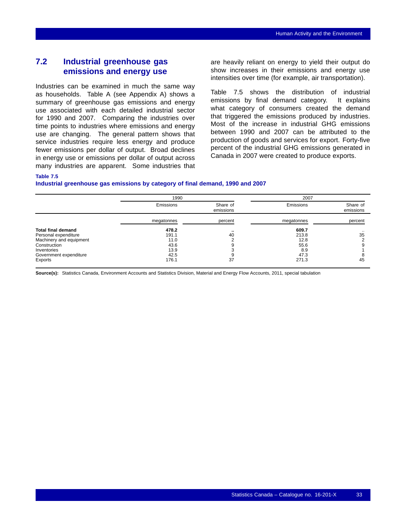## <span id="page-34-0"></span>**7.2 Industrial greenhouse gas emissions and energy use**

Industries can be examined in much the same way as households. Table [A](#page-44-0) (see Appendix [A\)](#page-44-0) shows a summary of greenhouse gas emissions and energy use associated with each detailed industrial sector for 1990 and 2007. Comparing the industries over time points to industries where emissions and energy use are changing. The general pattern shows that service industries require less energy and produce fewer emissions per dollar of output. Broad declines in energy use or emissions per dollar of output across many industries are apparent. Some industries that are heavily reliant on energy to yield their output do show increases in their emissions and energy use intensities over time (for example, air transportation).

Table 7.5 shows the distribution of industrial emissions by final demand category. It explains what category of consumers created the demand that triggered the emissions produced by industries. Most of the increase in industrial GHG emissions between 1990 and 2007 can be attributed to the production of goods and services for export. Forty-five percent of the industrial GHG emissions generated in Canada in 2007 were created to produce exports.

### **Table 7.5**

#### **Industrial greenhouse gas emissions by category of final demand, 1990 and 2007**

|                           | 1990       |                       | 2007       |                       |
|---------------------------|------------|-----------------------|------------|-----------------------|
|                           | Emissions  | Share of<br>emissions | Emissions  | Share of<br>emissions |
|                           | megatonnes | percent               | megatonnes | percent               |
| <b>Total final demand</b> | 478.2      |                       | 609.7      | $\cdot$ .             |
| Personal expenditure      | 191.1      | 40                    | 213.8      | 35                    |
| Machinery and equipment   | 11.0       |                       | 12.8       |                       |
| Construction              | 43.6       |                       | 55.6       | g                     |
| Inventories               | 13.9       |                       | 8.9        |                       |
| Government expenditure    | 42.5       |                       | 47.3       |                       |
| Exports                   | 176.1      | 37                    | 271.3      | 45                    |

**Source(s):** Statistics Canada, Environment Accounts and Statistics Division, Material and Energy Flow Accounts, 2011, special tabulation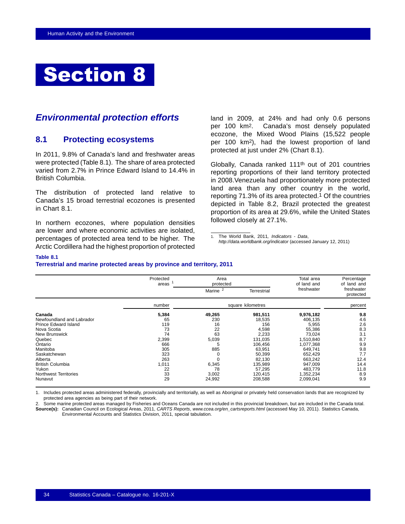## <span id="page-35-0"></span>Section 8

## *Environmental protection efforts*

## **8.1 Protecting ecosystems**

In 2011, 9.8% of Canada's land and freshwater areas were protected (Table 8.1). The share of area protected varied from 2.7% in Prince Edward Island to 14.4% in British Columbia.

The distribution of protected land relative to Canada's 15 broad terrestrial ecozones is presented in Chart [8.1.](#page-36-0)

In northern ecozones, where population densities are lower and where economic activities are isolated, percentages of protected area tend to be higher. The Arctic Cordillera had the highest proportion of protected land in 2009, at 24% and had only 0.6 persons per 100 km2. Canada's most densely populated ecozone, the Mixed Wood Plains (15,522 people per 100 km2), had the lowest proportion of land protected at just under 2% (Chart [8.1\)](#page-36-0).

Globally, Canada ranked 111th out of 201 countries reporting proportions of their land territory protected in 2008.Venezuela had proportionately more protected land area than any other country in the world, reporting 71.3% of its area protected.1 Of the countries depicted in Table [8.2](#page-36-0), Brazil protected the greatest proportion of its area at 29.6%, while the United States followed closely at 27.1%.

1. The World Bank, 2011*, Indicators - Data*, *http://data.worldbank.org/indicator* (accessed January 12, 2011)

#### **Table 8.1**

#### **Terrestrial and marine protected areas by province and territory, 2011**

|                              | Protected<br>areas | Area<br>protected   |                    | Total area<br>of land and | Percentage<br>of land and |
|------------------------------|--------------------|---------------------|--------------------|---------------------------|---------------------------|
|                              |                    | Marine <sup>2</sup> | <b>Terrestrial</b> | freshwater                | freshwater<br>protected   |
|                              | number             |                     | square kilometres  |                           | percent                   |
| Canada                       | 5,384              | 49,265              | 981,511            | 9,976,182                 | 9.8                       |
| Newfoundland and Labrador    | 65                 | 230                 | 18,535             | 406,135                   | 4.6                       |
| Prince Edward Island         | 119                | 16                  | 156                | 5,955                     | 2.6                       |
| Nova Scotia                  | 73                 | 22                  | 4,598              | 55,386                    | 8.3                       |
| <b>New Brunswick</b>         | 74                 | 63                  | 2,233              | 73,024                    | 3.1                       |
| Quebec                       | 2,399              | 5,039               | 131,035            | 1,510,840                 | 8.7                       |
| Ontario                      | 666                | 5                   | 106.456            | 1,077,368                 | 9.9                       |
| Manitoba                     | 305                | 885                 | 63,951             | 649,741                   | 9.8                       |
| Saskatchewan                 | 323                |                     | 50,399             | 652,429                   | 7.7                       |
| Alberta                      | 263                |                     | 82,130             | 663,242                   | 12.4                      |
| <b>British Columbia</b>      | 1,011              | 6,345               | 135,989            | 947,009                   | 14.4                      |
| Yukon                        | 22                 | 78                  | 57,295             | 483,779                   | 11.8                      |
| <b>Northwest Territories</b> | 33                 | 3,002               | 120.415            | 1,352,234                 | 8.9                       |
| Nunavut                      | 29                 | 24,992              | 208,588            | 2,099,041                 | 9.9                       |

1. Includes protected areas administered federally, provincially and territorially, as well as Aboriginal or privately held conservation lands that are recognized by protected area agencies as being part of their network.

2. Some marine protected areas managed by Fisheries and Oceans Canada are not included in this provincial breakdown, but are included in the Canada total. **Source(s):** Canadian Council on Ecological Areas, 2011, *CARTS Reports*, *www.ccea.org/en\_cartsreports.html* (accessed May 10, 2011). Statistics Canada, Environmental Accounts and Statistics Division, 2011, special tabulation.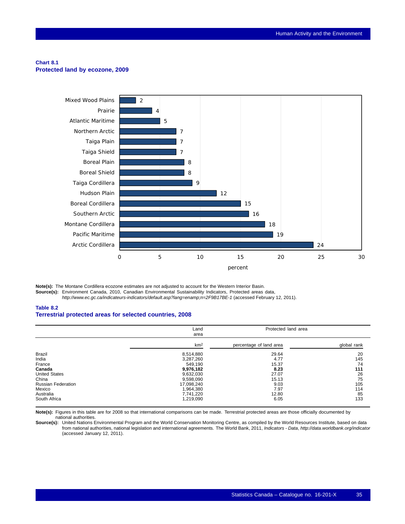#### <span id="page-36-0"></span>**Chart 8.1 Protected land by ecozone, 2009**



**Note(s):** The Montane Cordillera ecozone estimates are not adjusted to account for the Western Interior Basin. **Source(s):** Environment Canada, 2010, Canadian Environmental Sustainability Indicators, Protected areas data, *http://www.ec.gc.ca/indicateurs-indicators/default.asp?lang=enamp;n=2F9B17BE-1* (accessed February 12, 2011).

#### **Table 8.2 Terrestrial protected areas for selected countries, 2008**

|                           | Land<br>area    | Protected land area     |             |
|---------------------------|-----------------|-------------------------|-------------|
|                           | km <sup>2</sup> | percentage of land area | global rank |
| <b>Brazil</b>             | 8,514,880       | 29.64                   | 20          |
| India                     | 3,287,260       | 4.77                    | 145         |
| France                    | 549,190         | 15.37                   | 74          |
| Canada                    | 9,976,182       | 8.23                    | 111         |
| <b>United States</b>      | 9,632,030       | 27.07                   | 26          |
| China                     | 9,598,090       | 15.13                   | 75          |
| <b>Russian Federation</b> | 17.098.240      | 9.03                    | 105         |
| Mexico                    | 1,964,380       | 7.97                    | 114         |
| Australia                 | 7,741,220       | 12.80                   | 85          |
| South Africa              | 1,219,090       | 6.05                    | 133         |

**Note(s):** Figures in this table are for 2008 so that international comparisons can be made. Terrestrial protected areas are those officially documented by national authorities.

**Source(s):** United Nations Environmental Program and the World Conservation Monitoring Centre, as compiled by the World Resources Institute, based on data from national authorities, national legislation and international agreements. The World Bank, 2011, *Indicators - Data*, *http://data.worldbank.org/indicator* (accessed January 12, 2011).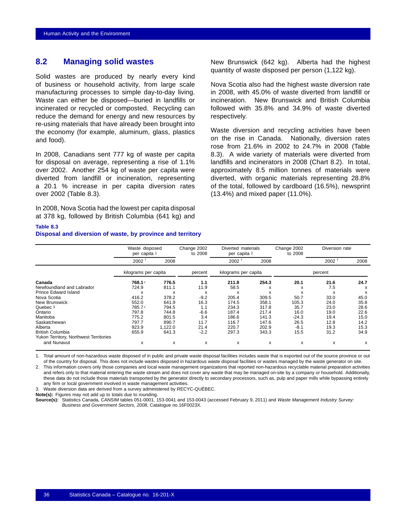## <span id="page-37-0"></span>**8.2 Managing solid wastes**

Solid wastes are produced by nearly every kind of business or household activity, from large scale manufacturing processes to simple day-to-day living. Waste can either be disposed—buried in landfills or incinerated or recycled or composted. Recycling can reduce the demand for energy and new resources by re-using materials that have already been brought into the economy (for example, aluminum, glass, plastics and food).

In 2008, Canadians sent 777 kg of waste per capita for disposal on average, representing a rise of 1.1% over 2002. Another 254 kg of waste per capita were diverted from landfill or incineration, representing a 20.1 % increase in per capita diversion rates over 2002 (Table 8.3).

In 2008, Nova Scotia had the lowest per capita disposal at 378 kg, followed by British Columbia (641 kg) and

New Brunswick (642 kg). Alberta had the highest quantity of waste disposed per person (1,122 kg).

Nova Scotia also had the highest waste diversion rate in 2008, with 45.0% of waste diverted from landfill or incineration. New Brunswick and British Columbia followed with 35.8% and 34.9% of waste diverted respectively.

Waste diversion and recycling activities have been on the rise in Canada. Nationally, diversion rates rose from 21.6% in 2002 to 24.7% in 2008 (Table 8.3). A wide variety of materials were diverted from landfills and incinerators in 2008 (Chart [8.2\)](#page-38-0). In total, approximately 8.5 million tonnes of materials were diverted, with organic materials representing 28.8% of the total, followed by cardboard (16.5%), newsprint (13.4%) and mixed paper (11.0%).

### **Table 8.3**

#### **Disposal and diversion of waste, by province and territory**

|                                        | Waste disposed<br>per capita 1 |         | Change 2002<br>to 2008 | Diverted materials<br>per capita 2 |       | Change 2002<br>to 2008 | Diversion rate |      |  |
|----------------------------------------|--------------------------------|---------|------------------------|------------------------------------|-------|------------------------|----------------|------|--|
|                                        | 2002                           | 2008    |                        | 2002                               | 2008  |                        | 2002           | 2008 |  |
|                                        | kilograms per capita           |         | percent                | kilograms per capita               |       |                        | percent        |      |  |
| Canada                                 | 768.1                          | 776.5   | 1.1                    | 211.8                              | 254.3 | 20.1                   | 21.6           | 24.7 |  |
| Newfoundland and Labrador              | 724.9                          | 811.1   | 11.9                   | 58.5                               | x     | X                      | 7.5            | X    |  |
| <b>Prince Edward Island</b>            | x                              | x       | X                      | x                                  | X     | X                      | X              | X    |  |
| Nova Scotia                            | 416.2                          | 378.2   | $-9.2$                 | 205.4                              | 309.5 | 50.7                   | 33.0           | 45.0 |  |
| New Brunswick                          | 552.0                          | 641.9   | 16.3                   | 174.5                              | 358.1 | 105.3                  | 24.0           | 35.8 |  |
| Quebec 3                               | 785.7r                         | 794.5   | 1.1                    | 234.3                              | 317.8 | 35.7                   | 23.0           | 28.6 |  |
| Ontario                                | 797.8                          | 744.8   | $-6.6$                 | 187.4                              | 217.4 | 16.0                   | 19.0           | 22.6 |  |
| Manitoba                               | 775.2                          | 801.5   | 3.4                    | 186.6                              | 141.3 | $-24.3$                | 19.4           | 15.0 |  |
| Saskatchewan                           | 797.7                          | 890.7   | 11.7                   | 116.7                              | 147.6 | 26.5                   | 12.8           | 14.2 |  |
| Alberta                                | 923.9                          | 1.122.0 | 21.4                   | 220.7                              | 202.9 | $-8.1$                 | 19.3           | 15.3 |  |
| <b>British Columbia</b>                | 655.9                          | 641.3   | $-2.2$                 | 297.3                              | 343.3 | 15.5                   | 31.2           | 34.9 |  |
| Yukon Territory, Northwest Territories |                                |         |                        |                                    |       |                        |                |      |  |
| and Nunavut                            | x                              | x       | x                      | x                                  | X     | X                      | x              | x    |  |

1. Total amount of non-hazardous waste disposed of in public and private waste disposal facilities includes waste that is exported out of the source province or out of the country for disposal. This does not include wastes disposed in hazardous waste disposal facilities or wastes managed by the waste generator on site.

2. This information covers only those companies and local waste management organizations that reported non-hazardous recyclable material preparation activities and refers only to that material entering the waste stream and does not cover any waste that may be managed on-site by a company or household. Additionally, these data do not include those materials transported by the generator directly to secondary processors, such as, pulp and paper mills while bypassing entirely any firm or local government involved in waste management activities.

3. Waste diversion data are derived from a survey administered by RECYC-QUÉBEC.

**Note(s):** Figures may not add up to totals due to rounding.

**Source(s):** Statistics Canada, CANSIM tables 051-0001, 153-0041 and 153-0043 (accessed February 9, 2011) and *Waste Management Industry Survey: Business and Government Sectors, 2008*, Catalogue no.16F0023X.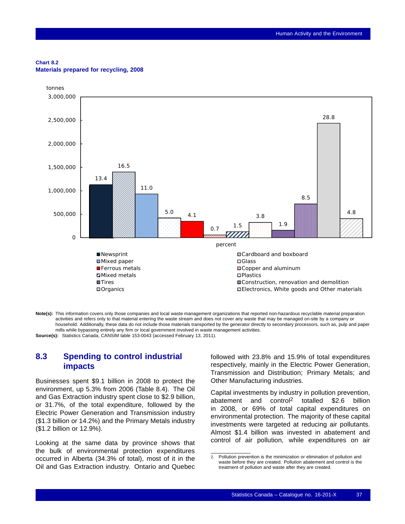#### <span id="page-38-0"></span>**Chart 8.2 Materials prepared for recycling, 2008**



**Note(s):** This information covers only those companies and local waste management organizations that reported non-hazardous recyclable material preparation activities and refers only to that material entering the waste stream and does not cover any waste that may be managed on-site by a company or household. Additionally, these data do not include those materials transported by the generator directly to secondary processors, such as, pulp and paper mills while bypassing entirely any firm or local government involved in waste management activities. **Source(s):** Statistics Canada, CANSIM table 153-0043 (accessed February 13, 2011).

**8.3 Spending to control industrial impacts**

Businesses spent \$9.1 billion in 2008 to protect the environment, up 5.3% from 2006 (Table [8.4\)](#page-39-0). The Oil and Gas Extraction industry spent close to \$2.9 billion, or 31.7%, of the total expenditure, followed by the Electric Power Generation and Transmission industry (\$1.3 billion or 14.2%) and the Primary Metals industry (\$1.2 billion or 12.9%).

Looking at the same data by province shows that the bulk of environmental protection expenditures occurred in Alberta (34.3% of total), most of it in the Oil and Gas Extraction industry. Ontario and Quebec followed with 23.8% and 15.9% of total expenditures respectively, mainly in the Electric Power Generation, Transmission and Distribution; Primary Metals; and Other Manufacturing industries.

Capital investments by industry in pollution prevention, abatement and control2 totalled \$2.6 billion in 2008, or 69% of total capital expenditures on environmental protection. The majority of these capital investments were targeted at reducing air pollutants. Almost \$1.4 billion was invested in abatement and control of air pollution, while expenditures on air

<sup>2.</sup> Pollution prevention is the minimization or elimination of pollution and waste before they are created. Pollution abatement and control is the treatment of pollution and waste after they are created.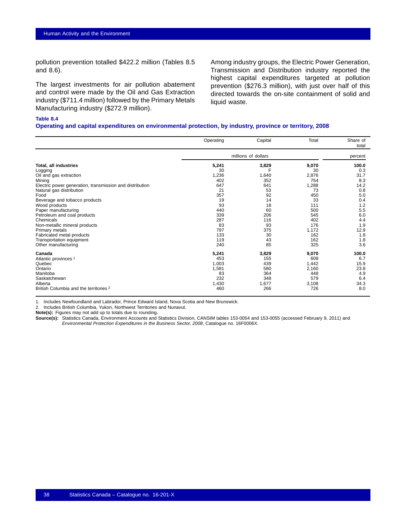<span id="page-39-0"></span>pollution prevention totalled \$422.2 million (Tables [8.5](#page-40-0) and [8.6\)](#page-41-0).

The largest investments for air pollution abatement and control were made by the Oil and Gas Extraction industry (\$711.4 million) followed by the Primary Metals Manufacturing industry (\$272.9 million).

Among industry groups, the Electric Power Generation, Transmission and Distribution industry reported the highest capital expenditures targeted at pollution prevention (\$276.3 million), with just over half of this directed towards the on-site containment of solid and liquid waste.

## **Table 8.4**

#### **Operating and capital expenditures on environmental protection, by industry, province or territory, 2008**

|                                                          | Operating | Capital             | Total | Share of<br>total |
|----------------------------------------------------------|-----------|---------------------|-------|-------------------|
|                                                          |           | millions of dollars |       | percent           |
| <b>Total, all industries</b>                             | 5,241     | 3,829               | 9,070 | 100.0             |
| Logging                                                  | 30        |                     | 30    | 0.3               |
| Oil and gas extraction                                   | 1,236     | 1,640               | 2,876 | 31.7              |
| Mining                                                   | 402       | 352                 | 754   | 8.3               |
| Electric power generation, transmission and distribution | 647       | 641                 | 1,288 | 14.2              |
| Natural gas distribution                                 | 21        | 53                  | 73    | 0.8               |
| Food                                                     | 357       | 92                  | 450   | 5.0               |
| Beverage and tobacco products                            | 19        | 14                  | 33    | 0.4               |
| Wood products                                            | 93        | 18                  | 111   | 1.2               |
| Paper manufacturing                                      | 440       | 60                  | 500   | 5.5               |
| Petroleum and coal products                              | 339       | 206                 | 545   | 6.0               |
| Chemicals                                                | 287       | 116                 | 402   | 4.4               |
| Non-metallic mineral products                            | 83        | 93                  | 176   | 1.9               |
| Primary metals                                           | 797       | 375                 | 1,172 | 12.9              |
| Fabricated metal products                                | 133       | 30                  | 162   | 1.8               |
| Transportation equipment                                 | 119       | 43                  | 162   | 1.8               |
| Other manufacturing                                      | 240       | 85                  | 325   | 3.6               |
| Canada                                                   | 5,241     | 3,829               | 9,070 | 100.0             |
| Atlantic provinces 1                                     | 453       | 155                 | 608   | 6.7               |
| Quebec                                                   | 1,003     | 439                 | 1,442 | 15.9              |
| Ontario                                                  | 1,581     | 580                 | 2,160 | 23.8              |
| Manitoba                                                 | 83        | 364                 | 448   | 4.9               |
| Saskatchewan                                             | 232       | 348                 | 579   | 6.4               |
| Alberta                                                  | 1,430     | 1,677               | 3,108 | 34.3              |
| British Columbia and the territories 2                   | 460       | 266                 | 726   | 8.0               |

1. Includes Newfoundland and Labrador, Prince Edward Island, Nova Scotia and New Brunswick.

2. Includes British Columbia, Yukon, Northwest Territories and Nunavut.

**Note(s):** Figures may not add up to totals due to rounding.

**Source(s):** Statistics Canada, Environment Accounts and Statistics Division, CANSIM tables 153-0054 and 153-0055 (accessed February 9, 2011) and *Environmental Protection Expenditures in the Business Sector, 2008*, Catalogue no. 16F0006X.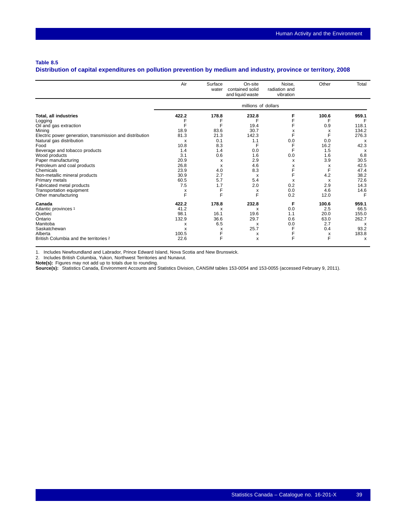### <span id="page-40-0"></span>**Table 8.5**

## **Distribution of capital expenditures on pollution prevention by medium and industry, province or territory, 2008**

|                                                          | Air                 | Surface<br>water | On-site<br>contained solid<br>and liquid waste | Noise.<br>radiation and<br>vibration | Other | Total                     |  |  |  |
|----------------------------------------------------------|---------------------|------------------|------------------------------------------------|--------------------------------------|-------|---------------------------|--|--|--|
|                                                          | millions of dollars |                  |                                                |                                      |       |                           |  |  |  |
| Total, all industries                                    | 422.2               | 178.8            | 232.8                                          | F                                    | 100.6 | 959.1                     |  |  |  |
| Logging                                                  |                     |                  |                                                | F                                    |       |                           |  |  |  |
| Oil and gas extraction                                   | F                   | F                | 19.4                                           | F                                    | 0.9   | 118.1                     |  |  |  |
| Mining                                                   | 18.9                | 83.6             | 30.7                                           | х                                    | х     | 134.2                     |  |  |  |
| Electric power generation, transmission and distribution | 81.3                | 21.3             | 142.3                                          | F                                    | F     | 276.3                     |  |  |  |
| Natural gas distribution                                 | X                   | 0.1              | 1.1                                            | 0.0                                  | 0.0   | x                         |  |  |  |
| Food                                                     | 10.8                | 8.3              | F                                              | F                                    | 16.2  | 42.3                      |  |  |  |
| Beverage and tobacco products                            | 1.4                 | 1.4              | 0.0                                            | F                                    | 1.5   | $\boldsymbol{\mathsf{x}}$ |  |  |  |
| Wood products                                            | 3.1                 | 0.6              | 1.6                                            | 0.0                                  | 1.6   | 6.8                       |  |  |  |
| Paper manufacturing                                      | 20.9                | X                | 2.9                                            | X                                    | 3.9   | 30.5                      |  |  |  |
| Petroleum and coal products                              | 26.8                | X                | 4.6                                            | x                                    | х     | 42.5                      |  |  |  |
| Chemicals                                                | 23.9                | 4.0              | 8.3                                            | F                                    | F     | 47.4                      |  |  |  |
| Non-metallic mineral products                            | 30.9                | 2.7              | X                                              | F                                    | 4.2   | 38.2                      |  |  |  |
| Primary metals                                           | 60.5                | 5.7              | 5.4                                            | X                                    | X     | 72.6                      |  |  |  |
| Fabricated metal products                                | 7.5                 | 1.7              | 2.0                                            | 0.2                                  | 2.9   | 14.3                      |  |  |  |
| Transportation equipment                                 | х                   | F                | х                                              | 0.0                                  | 4.6   | 14.6                      |  |  |  |
| Other manufacturing                                      | F                   | F                | F                                              | 0.2                                  | 12.0  | F                         |  |  |  |
| Canada                                                   | 422.2               | 178.8            | 232.8                                          | F                                    | 100.6 | 959.1                     |  |  |  |
| Atlantic provinces 1                                     | 41.2                | X                | X                                              | 0.0                                  | 2.5   | 66.5                      |  |  |  |
| Quebec                                                   | 98.1                | 16.1             | 19.6                                           | 1.1                                  | 20.0  | 155.0                     |  |  |  |
| Ontario                                                  | 132.9               | 36.6             | 29.7                                           | 0.6                                  | 63.0  | 262.7                     |  |  |  |
| Manitoba                                                 | X                   | 6.5              | X                                              | 0.0                                  | 2.7   | $\boldsymbol{\mathsf{x}}$ |  |  |  |
| Saskatchewan                                             | X                   | X                | 25.7                                           | F                                    | 0.4   | 93.2                      |  |  |  |
| Alberta                                                  | 100.5               | F                | x                                              |                                      | х     | 183.8                     |  |  |  |
| British Columbia and the territories 2                   | 22.6                | F                | X                                              | F                                    | F     | X                         |  |  |  |

1. Includes Newfoundland and Labrador, Prince Edward Island, Nova Scotia and New Brunswick.

2. Includes British Columbia, Yukon, Northwest Territories and Nunavut.<br>**Note(s):** Figures may not add up to totals due to rounding.<br>**Source(s):** Statistics Canada, Environment Accounts and Statistics Division, CANSIM tabl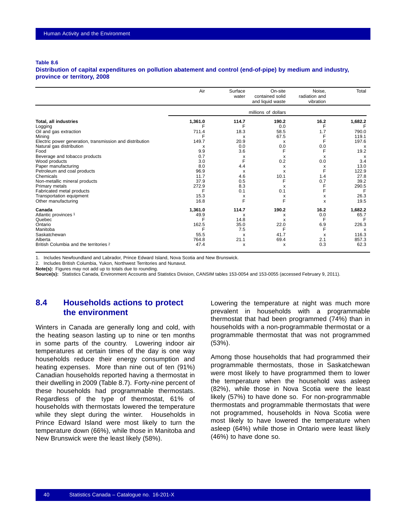#### <span id="page-41-0"></span>**Table 8.6**

**Distribution of capital expenditures on pollution abatement and control (end-of-pipe) by medium and industry, province or territory, 2008**

|                                                          | Air     | Surface<br>water | On-site<br>contained solid<br>and liquid waste | Noise.<br>radiation and<br>vibration | Total                     |
|----------------------------------------------------------|---------|------------------|------------------------------------------------|--------------------------------------|---------------------------|
|                                                          |         |                  | millions of dollars                            |                                      |                           |
| <b>Total, all industries</b>                             | 1,361.0 | 114.7            | 190.2                                          | 16.2                                 | 1,682.2                   |
| Logging                                                  |         | F                | 0.0                                            | F                                    |                           |
| Oil and gas extraction                                   | 711.4   | 18.3             | 58.5                                           | 1.7                                  | 790.0                     |
| Mining                                                   | F       | X                | 67.5                                           | F                                    | 119.1                     |
| Electric power generation, transmission and distribution | 149.7   | 20.9             | X                                              | F                                    | 197.6                     |
| Natural gas distribution                                 | X       | 0.0              | 0.0                                            | 0.0                                  | $\boldsymbol{\mathsf{x}}$ |
| Food                                                     | 9.9     | 3.6              | F                                              | F                                    | 19.2                      |
| Beverage and tobacco products                            | 0.7     | х                | x                                              | х                                    | х                         |
| Wood products                                            | 3.0     | F                | 0.2                                            | 0.0                                  | 3.4                       |
| Paper manufacturing                                      | 8.0     | 4.4              | X                                              | х                                    | 13.0                      |
| Petroleum and coal products                              | 96.9    | X                | X                                              | F                                    | 122.9                     |
| Chemicals                                                | 11.7    | 4.6              | 10.1                                           | 1.4                                  | 27.8                      |
| Non-metallic mineral products                            | 37.9    | 0.5              | F                                              | 0.7                                  | 39.2                      |
| Primary metals                                           | 272.9   | 8.3              | X                                              | F                                    | 290.5                     |
| Fabricated metal products                                | F       | 0.1              | 0.1                                            | F                                    | F                         |
| Transportation equipment                                 | 15.3    | х                | х                                              | x                                    | 26.3                      |
| Other manufacturing                                      | 16.8    | F                | F                                              | X                                    | 19.5                      |
| Canada                                                   | 1,361.0 | 114.7            | 190.2                                          | 16.2                                 | 1,682.2                   |
| Atlantic provinces 1                                     | 49.9    | х                | x                                              | 0.0                                  | 65.7                      |
| Quebec                                                   | F       | 14.8             | X                                              | F                                    | F                         |
| Ontario                                                  | 162.5   | 35.0             | 22.0                                           | 6.9                                  | 226.3                     |
| Manitoba                                                 |         | 7.5              | F                                              | F                                    | x                         |
| Saskatchewan                                             | 55.5    | x                | 41.7                                           | х                                    | 116.3                     |
| Alberta                                                  | 764.8   | 21.1             | 69.4                                           | 2.1                                  | 857.3                     |
| British Columbia and the territories 2                   | 47.4    | X                | X                                              | 0.3                                  | 62.3                      |

1. Includes Newfoundland and Labrador, Prince Edward Island, Nova Scotia and New Brunswick.

2. Includes British Columbia, Yukon, Northwest Territories and Nunavut.

**Note(s):** Figures may not add up to totals due to rounding.

**Source(s):** Statistics Canada, Environment Accounts and Statistics Division, CANSIM tables 153-0054 and 153-0055 (accessed February 9, 2011).

## **8.4 Households actions to protect the environment**

Winters in Canada are generally long and cold, with the heating season lasting up to nine or ten months in some parts of the country. Lowering indoor air temperatures at certain times of the day is one way households reduce their energy consumption and heating expenses. More than nine out of ten (91%) Canadian households reported having a thermostat in their dwelling in 2009 (Table [8.7](#page-42-0)). Forty-nine percent of these households had programmable thermostats. Regardless of the type of thermostat, 61% of households with thermostats lowered the temperature while they slept during the winter. Households in Prince Edward Island were most likely to turn the temperature down (66%), while those in Manitoba and New Brunswick were the least likely (58%).

Lowering the temperature at night was much more prevalent in households with a programmable thermostat that had been programmed (74%) than in households with a non-programmable thermostat or a programmable thermostat that was not programmed (53%).

Among those households that had programmed their programmable thermostats, those in Saskatchewan were most likely to have programmed them to lower the temperature when the household was asleep (82%), while those in Nova Scotia were the least likely (57%) to have done so. For non-programmable thermostats and programmable thermostats that were not programmed, households in Nova Scotia were most likely to have lowered the temperature when asleep (64%) while those in Ontario were least likely (46%) to have done so.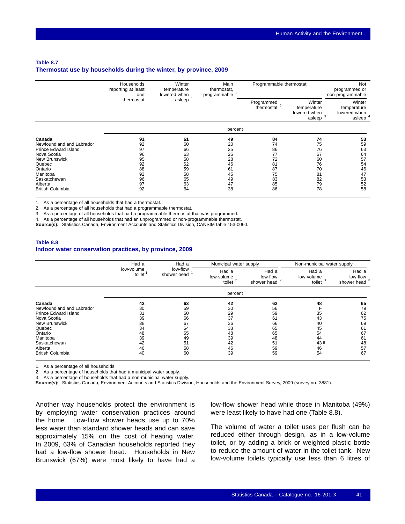### <span id="page-42-0"></span>**Table 8.7 Thermostat use by households during the winter, by province, 2009**

|                                                                                                                                                                                           | Households<br>reporting at least<br>one                        | Winter<br>temperature<br>lowered when                          | Main<br>thermostat,<br>programmable                            |                                                                | Programmable thermostat                                        |                                                                |  |
|-------------------------------------------------------------------------------------------------------------------------------------------------------------------------------------------|----------------------------------------------------------------|----------------------------------------------------------------|----------------------------------------------------------------|----------------------------------------------------------------|----------------------------------------------------------------|----------------------------------------------------------------|--|
|                                                                                                                                                                                           | thermostat                                                     | asleep                                                         |                                                                | Programmed<br>thermostat <sup>2</sup>                          | Winter<br>temperature<br>lowered when<br>asleep $3$            | Winter<br>temperature<br>lowered when<br>asleep $4$            |  |
|                                                                                                                                                                                           |                                                                |                                                                | percent                                                        |                                                                |                                                                |                                                                |  |
| Canada<br>Newfoundland and Labrador<br><b>Prince Edward Island</b><br>Nova Scotia<br>New Brunswick<br>Quebec<br>Ontario<br>Manitoba<br>Saskatchewan<br>Alberta<br><b>British Columbia</b> | 91<br>92<br>97<br>96<br>95<br>92<br>88<br>92<br>96<br>97<br>92 | 61<br>60<br>66<br>63<br>58<br>62<br>59<br>58<br>65<br>63<br>64 | 49<br>20<br>25<br>25<br>28<br>46<br>61<br>45<br>49<br>47<br>38 | 84<br>74<br>86<br>77<br>72<br>81<br>87<br>75<br>83<br>85<br>86 | 74<br>75<br>76<br>57<br>60<br>76<br>70<br>81<br>82<br>79<br>78 | 53<br>59<br>63<br>64<br>57<br>54<br>46<br>47<br>53<br>52<br>58 |  |

1. As a percentage of all households that had a thermostat.

2. As a percentage of all households that had a programmable thermostat.

3. As a percentage of all households that had a programmable thermostat that was programmed.

4. As a percentage of all households that had an unprogrammed or non-programmable thermostat.

**Source(s):** Statistics Canada, Environment Accounts and Statistics Division, CANSIM table 153-0060.

#### **Table 8.8 Indoor water conservation practices, by province, 2009**

|                             | Had a                | Had a                   | Municipal water supply        |                                               | Non-municipal water supply    |                                      |
|-----------------------------|----------------------|-------------------------|-------------------------------|-----------------------------------------------|-------------------------------|--------------------------------------|
|                             | low-volume<br>toilet | low-flow<br>shower head | Had a<br>low-volume<br>toilet | Had a<br>low-flow<br>shower head <sup>2</sup> | Had a<br>low-volume<br>toilet | Had a<br>low-flow<br>shower head $3$ |
|                             |                      |                         | percent                       |                                               |                               |                                      |
| Canada                      | 42                   | 63                      | 42                            | 62                                            | 48                            | 65                                   |
| Newfoundland and Labrador   | 30                   | 59                      | 30                            | 56                                            |                               | 79                                   |
| <b>Prince Edward Island</b> | 31                   | 60                      | 29                            | 59                                            | 35                            | 62                                   |
| Nova Scotia                 | 39                   | 66                      | 37                            | 61                                            | 43                            | 75                                   |
| New Brunswick               | 38                   | 67                      | 36                            | 66                                            | 40                            | 69                                   |
| Quebec                      | 34                   | 64                      | 33                            | 65                                            | 45                            | 61                                   |
| Ontario                     | 48                   | 65                      | 48                            | 65                                            | 54                            | 67                                   |
| Manitoba                    | 39                   | 49                      | 39                            | 48                                            | 44                            | 61                                   |
| Saskatchewan                | 42                   | 51                      | 42                            | 51                                            | 43 E                          | 48                                   |
| Alberta                     | 46                   | 58                      | 46                            | 59                                            | 46                            | 57                                   |
| <b>British Columbia</b>     | 40                   | 60                      | 39                            | 59                                            | 54                            | 67                                   |

1. As a percentage of all households.

2. As a percentage of households that had a municipal water supply.

3. As a percentage of households that had a non-municipal water supply.

**Source(s):** Statistics Canada, Environment Accounts and Statistics Division, Households and the Environment Survey, 2009 (survey no. 3881).

Another way households protect the environment is by employing water conservation practices around the home. Low-flow shower heads use up to 70% less water than standard shower heads and can save approximately 15% on the cost of heating water. In 2009, 63% of Canadian households reported they had a low-flow shower head. Households in New Brunswick (67%) were most likely to have had a

low-flow shower head while those in Manitoba (49%) were least likely to have had one (Table 8.8).

The volume of water a toilet uses per flush can be reduced either through design, as in a low-volume toilet, or by adding a brick or weighted plastic bottle to reduce the amount of water in the toilet tank. New low-volume toilets typically use less than 6 litres of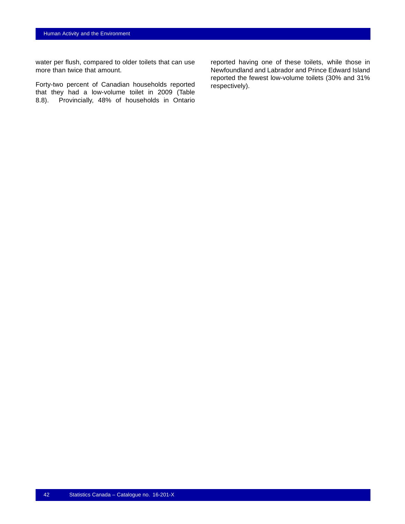water per flush, compared to older toilets that can use more than twice that amount.

Forty-two percent of Canadian households reported that they had a low-volume toilet in 2009 (Table [8.8\)](#page-42-0). Provincially, 48% of households in Ontario

reported having one of these toilets, while those in Newfoundland and Labrador and Prince Edward Island reported the fewest low-volume toilets (30% and 31% respectively).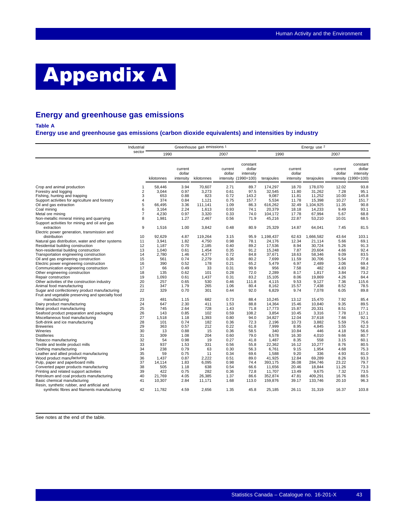# <span id="page-44-0"></span>Appendix A

## **Energy and greenhouse gas emissions**

**Table A**

**Energy use and greenhouse gas emissions (carbon dioxide equivalents) and intensities by industry**

|                                                                                                    | Industrial     |                 |                                | Greenhouse gas emissions 1 |                   |                                                         |                   |                                | Energy use 2      |                   |                                                         |
|----------------------------------------------------------------------------------------------------|----------------|-----------------|--------------------------------|----------------------------|-------------------|---------------------------------------------------------|-------------------|--------------------------------|-------------------|-------------------|---------------------------------------------------------|
|                                                                                                    | sector         | 1990            |                                |                            | 2007              |                                                         | 1990              |                                |                   | 2007              |                                                         |
|                                                                                                    |                | kilotonnes      | current<br>dollar<br>intensity | kilotonnes                 | current<br>dollar | constant<br>dollar<br>intensity<br>intensity (1990=100) | terajoules        | current<br>dollar<br>intensity | terajoules        | current<br>dollar | constant<br>dollar<br>intensity<br>intensity (1990=100) |
| Crop and animal production                                                                         | 1              | 58.446          | 3.94                           | 70.607                     | 2.71              | 89.7                                                    | 174.297           | 18.70                          | 178,070           | 12.02             | 93.8                                                    |
| Forestry and logging                                                                               | $\overline{2}$ | 3,044           | 0.97                           | 3,273                      | 0.61              | 97.5                                                    | 32,545            | 11.80                          | 31,262            | 7.28              | 95.1                                                    |
| Fishing, hunting and trapping                                                                      | 3              | 653             | 0.88                           | 823                        | 0.72              | 143.2                                                   | 9,087             | 11.81                          | 11,252            | 10.00             | 145.8                                                   |
| Support activities for agriculture and forestry                                                    | 4              | 374             | 0.84                           | 1,121                      | 0.75              | 157.7                                                   | 5,534             | 11.78                          | 15,398            | 10.27             | 151.7                                                   |
| Oil and gas extraction                                                                             | 5              | 66,495          | 3.36                           | 111,141                    | 1.09              | 86.3                                                    | 616,262           | 32.49                          | 1,104,925         | 11.35             | 90.8                                                    |
| Coal mining                                                                                        | 6              | 3.164           | 2.24                           | 1.613                      | 0.93              | 74.1                                                    | 20.379            | 18.18                          | 14.233            | 9.49              | 93.1                                                    |
| Metal ore mining                                                                                   | 7              | 4.230           | 0.97                           | 3,320                      | 0.33              | 74.0                                                    | 104.172           | 17.78                          | 67.994            | 5.67              | 68.8                                                    |
| Non-metallic mineral mining and quarrying<br>Support activities for mining and oil and gas         | 8              | 1,981           | 1.27                           | 2,467                      | 0.56              | 71.9                                                    | 45,216            | 22.87                          | 53,210            | 10.01             | 68.5                                                    |
| extraction<br>Electric power generation, transmission and                                          | 9              | 1,516           | 1.00                           | 3,842                      | 0.48              | 80.9                                                    | 25,329            | 14.87                          | 64,041            | 7.45              | 81.5                                                    |
| distribution                                                                                       | 10             | 92.629          | 4.87                           | 119.264                    | 3.15              | 95.9                                                    | 1,198,437         | 62.63                          | 1.666.582         | 43.64             | 103.1                                                   |
| Natural gas distribution, water and other systems                                                  | 11             | 3,941           | 1.82                           | 4,750                      | 0.98              | 78.1                                                    | 24,176            | 12.34                          | 21.114            | 5.66              | 69.1                                                    |
| Residential building construction                                                                  | 12             | 1,187           | 0.70                           | 2,185                      | 0.40              | 89.2                                                    | 17,536            | 8.94                           | 30,724            | 5.26              | 91.3                                                    |
| Non-residential building construction                                                              | 13             | 1,040           | 0.61                           | 1.454                      | 0.35              | 91.2                                                    | 15,248            | 7.87                           | 20.604            | 4.66              | 92.4                                                    |
| Transportation engineering construction                                                            | 14             | 2,780           | 1.46                           | 4,377                      | 0.72              | 84.8                                                    | 37,671            | 18.63                          | 58,346            | 9.09              | 83.5                                                    |
| Oil and gas engineering construction                                                               | 15             | 561             | 0.74                           | 2,279                      | 0.36              | 80.2                                                    | 7,699             | 11.59                          | 30,706            | 5.54              | 77.8                                                    |
| Electric power engineering construction                                                            | 16             | 390             | 0.52                           | 178                        | 0.21              | 65.2                                                    | 5,479             | 6.97                           | 2,489             | 3.06              | 69.4                                                    |
| Communication engineering construction                                                             | 17             | 66              | 0.49                           | 33                         | 0.31              | 99.9                                                    | 956               | 7.58                           | 482               | 4.83              | 98.2                                                    |
| Other engineering construction                                                                     | 18             | 135             | 0.62                           | 101                        | 0.28              | 72.0                                                    | 2,289             | 8.17                           | 1,817             | 3.84              | 73.2                                                    |
| Repair construction                                                                                | 19             | 1,093           | 0.61                           | 1,437                      | 0.31              | 83.2                                                    | 15,105            | 8.06                           | 19,869            | 4.26              | 84.4                                                    |
| Other activities of the construction industry                                                      | 20             | 257             | 0.65                           | 530                        | 0.46              | 111.8                                                   | 4.115             | 9.53                           | 9.127             | 7.36              | 115.6                                                   |
| Animal food manufacturing                                                                          | 21             | 347             | 1.79                           | 265                        | 1.06              | 80.4                                                    | 8,162             | 15.57                          | 7,438             | 8.52              | 78.5                                                    |
| Sugar and confectionery product manufacturing<br>Fruit and vegetable preserving and specialty food | 22             | 329             | 0.70                           | 301                        | 0.44              | 92.0                                                    | 6,829             | 9.74                           | 7,078             | 6.05              | 89.8                                                    |
| manufacturing                                                                                      | 23             | 481             | 1.15                           | 682                        | 0.73              | 88.4                                                    | 10,245            | 13.12                          | 15,470            | 7.92              | 85.4                                                    |
| Dairy product manufacturing                                                                        | 24             | 647             | 2.30                           | 411                        | 1.53              | 88.8                                                    | 14.364            | 15.46                          | 10.840            | 9.35              | 89.5                                                    |
| Meat product manufacturing                                                                         | 25             | 745             | 2.64                           | 728                        | 1.43              | 71.8                                                    | 17,773            | 15.87                          | 20,331            | 8.51              | 77.1                                                    |
| Seafood product preparation and packaging                                                          | 26             | 143             | 0.85                           | 102                        | 0.59              | 108.2                                                   | 3,854             | 10.45                          | 3,316             | 7.78              | 117.1                                                   |
| Miscellaneous food manufacturing                                                                   | 27             | 1,518           | 1.18                           | 1,393                      | 0.80              | 94.0                                                    | 34,827            | 12.04                          | 37,618            | 7.66              | 92.1                                                    |
| Soft-drink and ice manufacturing                                                                   | 28             | 101             | 0.74                           | 182                        | 0.36              | 72.3                                                    | 2,196             | 10.73                          | 3,882             | 5.59              | 75.6                                                    |
| <b>Breweries</b>                                                                                   | 29             | 363             | 0.57                           | 212                        | 0.22              | 61.8                                                    | 7,999             | 8.95                           | 4,845             | 3.55              | 62.3                                                    |
| Wineries                                                                                           | 30             | 13              | 0.88                           | 15                         | 0.36              | 58.5                                                    | 340               | 10.84                          | 446               | 4.18              | 56.6                                                    |
| <b>Distilleries</b>                                                                                | 31<br>32       | 309<br>54       | 1.08<br>0.98                   | 204<br>19                  | 0.60<br>0.27      | 79.0<br>41.8                                            | 6,578             | 16.30<br>8.35                  | 4,010<br>558      | 9.66<br>3.15      | 80.7<br>60.1                                            |
| Tobacco manufacturing                                                                              | 33             | 937             |                                | 331                        |                   |                                                         | 1,487             | 16.12                          |                   | 8.76              |                                                         |
| Textile and textile product mills                                                                  | 34             | 238             | 1.53<br>0.79                   | 63                         | 0.56<br>0.30      | 55.8                                                    | 22,362            |                                | 10,277            | 4.68              | 80.5<br>75.3                                            |
| Clothing manufacturing                                                                             | 35             | 59              |                                |                            |                   | 56.3                                                    | 6,761             | 9.15                           | 1,954<br>336      |                   |                                                         |
| Leather and allied product manufacturing                                                           | 36             |                 | 0.75                           | 11                         | 0.34              | 69.6                                                    | 1,588             | 9.20                           |                   | 4.93              | 81.0                                                    |
| Wood product manufacturing<br>Pulp, paper and paperboard mills                                     | 37             | 1,437<br>14,114 | 0.87<br>1.83                   | 2,222<br>6,095             | 0.51<br>0.98      | 89.0<br>74.4                                            | 41,925<br>393,175 | 12.84<br>36.08                 | 69,289<br>284,746 | 8.26<br>23.22     | 93.3<br>79.7                                            |
| Converted paper products manufacturing                                                             | 38             | 505             | 1.18                           | 638                        | 0.54              | 66.6                                                    | 11,656            | 20.46                          | 18,844            | 11.26             | 73.3                                                    |
|                                                                                                    | 39             | 422             | 0.75                           | 282                        | 0.36              | 72.8                                                    | 11,707            | 13.49                          | 9,675             | 7.32              | 73.5                                                    |
| Printing and related support activities<br>Petroleum and coal products manufacturing               | 40             | 21.769          | 4.05                           | 26,385                     | 1.37              | 86.6                                                    | 352,874           | 47.81                          | 409,291           | 16.76             | 88.5                                                    |
| Basic chemical manufacturing                                                                       | 41             | 10,307          | 2.84                           | 11,171                     | 1.68              | 113.0                                                   | 159,876           | 39.17                          | 133,746           | 20.10             | 96.3                                                    |
| Resin, synthetic rubber, and artificial and                                                        |                |                 |                                |                            |                   |                                                         |                   |                                |                   |                   |                                                         |
| synthetic fibres and filaments manufacturing                                                       | 42             | 11,782          | 4.59                           | 2,656                      | 1.35              | 45.8                                                    | 25,185            | 26.11                          | 31,319            | 16.37             | 103.8                                                   |

See notes at the end of the table.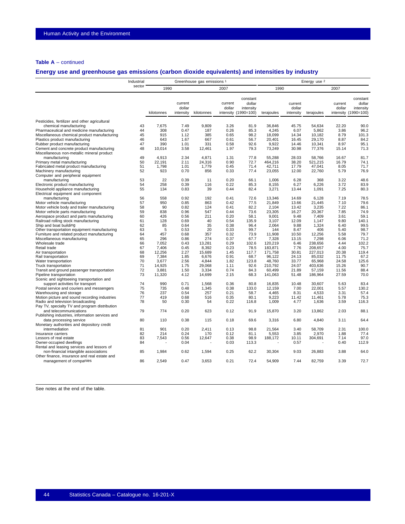## **Table A** – continued

## **Energy use and greenhouse gas emissions (carbon dioxide equivalents) and intensities by industry**

|                                                                        | Industrial |                 |                                | Greenhouse gas emissions 1 |                   |                                                         |                   |                                | Energy use 2      |                   |                                                         |
|------------------------------------------------------------------------|------------|-----------------|--------------------------------|----------------------------|-------------------|---------------------------------------------------------|-------------------|--------------------------------|-------------------|-------------------|---------------------------------------------------------|
|                                                                        | sector     | 1990            |                                |                            | 2007              |                                                         | 1990              |                                |                   | 2007              |                                                         |
|                                                                        |            | kilotonnes      | current<br>dollar<br>intensity | kilotonnes                 | current<br>dollar | constant<br>dollar<br>intensity<br>intensity (1990=100) | terajoules        | current<br>dollar<br>intensity | terajoules        | current<br>dollar | constant<br>dollar<br>intensity<br>intensity (1990=100) |
| Pesticides, fertilizer and other agricultural                          |            |                 |                                |                            |                   |                                                         |                   |                                |                   |                   |                                                         |
| chemical manufacturing                                                 | 43         | 7,675           | 7.49                           | 9,809                      | 3.26              | 81.9                                                    | 36,846            | 45.75                          | 54,634            | 22.20             | 90.0                                                    |
| Pharmaceutical and medicine manufacturing                              | 44         | 308             | 0.47                           | 187                        | 0.26              | 85.3                                                    | 4,245             | 6.07                           | 5,862             | 3.86              | 96.2                                                    |
| Miscellaneous chemical product manufacturing                           | 45         | 915             | 1.12                           | 385                        | 0.65              | 98.2                                                    | 18,099            | 14.34                          | 10,182            | 8.79              | 101.3                                                   |
| Plastics product manufacturing                                         | 46         | 643             | 1.67                           | 667                        | 0.61              | 56.7                                                    | 20,401            | 16.45                          | 29,170            | 8.87              | 84.2                                                    |
| Rubber product manufacturing                                           | 47         | 390             | 1.01                           | 331                        | 0.58              | 92.6                                                    | 9,922             | 14.46                          | 10,341            | 8.97              | 95.1                                                    |
| Cement and concrete product manufacturing                              | 48         | 10,014          | 3.58                           | 12,461                     | 1.97              | 79.3                                                    | 73,249            | 30.98                          | 77,376            | 15.14             | 71.3                                                    |
| Miscellaneous non-metallic mineral product                             |            |                 |                                |                            |                   |                                                         |                   |                                |                   |                   |                                                         |
| manufacturing                                                          | 49         | 4.913           | 2.34                           | 4.871                      | 1.31              | 77.8                                                    | 55,288            | 28.03                          | 58,766            | 16.67             | 81.7                                                    |
| Primary metal manufacturing                                            | 50         | 22,191          | 2.11                           | 24,316                     | 0.90              | 72.7                                                    | 464,216           | 38.20                          | 521,215           | 16.79             | 74.1                                                    |
| Fabricated metal product manufacturing                                 | 51<br>52   | 1,798<br>923    | 1.01<br>0.70                   | 1,779<br>856               | 0.45<br>0.33      | 71.4<br>77.4                                            | 42,711            | 17.79<br>12.00                 | 47,041            | 8.05<br>5.79      | 71.7<br>76.9                                            |
| Machinery manufacturing<br>Computer and peripheral equipment           |            |                 |                                |                            |                   |                                                         | 23,055            |                                | 22,760            |                   |                                                         |
| manufacturing                                                          | 53         | 22              | 0.39                           | 11                         | 0.20              | 66.1                                                    | 1.006             | 6.28                           | 368               | 3.22              | 48.6                                                    |
| Electronic product manufacturing                                       | 54         | 258             | 0.39                           | 116                        | 0.22              | 85.3                                                    | 8,155             | 6.27                           | 6,226             | 3.72              | 83.9                                                    |
| Household appliance manufacturing                                      | 55         | 134             | 0.83                           | 39                         | 0.44              | 82.4                                                    | 3.271             | 13.44                          | 1.091             | 7.25              | 80.3                                                    |
| Electrical equipment and component                                     |            |                 |                                |                            |                   |                                                         |                   |                                |                   |                   |                                                         |
| manufacturing                                                          | 56         | 558             | 0.92                           | 192                        | 0.41              | 72.6                                                    | 13,346            | 14.69                          | 6,128             | 7.19              | 78.5                                                    |
| Motor vehicle manufacturing                                            | 57         | 950             | 0.85                           | 863                        | 0.42              | 77.5                                                    | 21.849            | 13.66                          | 21,445            | 7.10              | 79.6                                                    |
| Motor vehicle body and trailer manufacturing                           | 58         | 90              | 0.82                           | 124                        | 0.41              | 82.2                                                    | 2,104             | 13.42                          | 3,235             | 7.22              | 86.1                                                    |
| Motor vehicle parts manufacturing                                      | 59         | 838             | 0.96                           | 547                        | 0.44              | 73.6                                                    | 23,305            | 16.27                          | 20,367            | 7.85              | 74.9                                                    |
| Aerospace product and parts manufacturing                              | 60         | 426             | 0.56                           | 211                        | 0.20              | 58.1                                                    | 9.001             | 9.48                           | 7.409             | 3.61              | 59.1                                                    |
| Railroad rolling stock manufacturing                                   | 61         | 128             | 0.69                           | 40                         | 0.54              | 135.9                                                   | 3,107             | 12.09                          | 1,147             | 9.80              | 140.1                                                   |
| Ship and boat building                                                 | 62         | 85              | 0.64                           | 35                         | 0.38              | 96.4                                                    | 2.064             | 9.88                           | 1,324             | 6.40              | 99.5                                                    |
| Other transportation equipment manufacturing                           | 63         | 5               | 0.53                           | 20                         | 0.33              | 99.7                                                    | 144               | 8.47                           | 406               | 5.40              | 98.7                                                    |
| Furniture and related product manufacturing                            | 64         | 457             | 0.68                           | 357                        | 0.32              | 73.9                                                    | 11,908            | 10.50                          | 12,256            | 5.58              | 79.7                                                    |
| Miscellaneous manufacturing                                            | 65         | 296             | 0.86                           | 274                        | 0.37              | 67.7                                                    | 7,328             | 13.15                          | 7,298             | 6.06              | 71.2                                                    |
| Wholesale trade                                                        | 66         | 7.052           | 0.43                           | 13.281                     | 0.29              | 102.6                                                   | 120.219           | 6.46                           | 238.656           | 4.44              | 102.2                                                   |
| Retail trade                                                           | 67         | 7,406           | 0.45                           | 8,392                      | 0.23              | 78.5                                                    | 183,871           | 7.76                           | 208,657           | 4.00              | 75.7                                                    |
| Air transportation                                                     | 68<br>69   | 12,256<br>7,384 | 2.27<br>1.85                   | 15.689                     | 1.45<br>0.91      | 117.7<br>68.7                                           | 171.758           | 30.81                          | 227,013<br>85,032 | 20.38             | 119.4<br>67.2                                           |
| Rail transportation                                                    | 70         | 3,677           | 2.56                           | 6,676<br>4,844             | 1.82              | 123.8                                                   | 96,122            | 24.13<br>33.77                 |                   | 11.75<br>24.58    | 125.6                                                   |
| Water transportation<br>Truck transportation                           | 71         | 14,925          | 1.75                           | 29,068                     | 1.11              | 92.6                                                    | 48,760<br>210,792 | 24.07                          | 65,968<br>403,636 | 15.26             | 90.7                                                    |
| Transit and ground passenger transportation                            | 72         | 3.881           | 1.50                           | 3.334                      | 0.74              | 84.3                                                    | 60.499            | 21.89                          | 57,159            | 11.56             | 88.4                                                    |
| Pipeline transportation                                                | 73         | 11,320          | 4.12                           | 14,699                     | 2.15              | 68.3                                                    | 141,063           | 51.48                          | 186,964           | 27.59             | 70.0                                                    |
| Scenic and sightseeing transportation and                              |            |                 |                                |                            |                   |                                                         |                   |                                |                   |                   |                                                         |
| support activities for transport                                       | 74         | 990             | 0.71                           | 1,568                      | 0.36              | 80.8                                                    | 16,835            | 10.48                          | 30,607            | 5.63              | 83.4                                                    |
| Postal service and couriers and messengers                             | 75         | 735             | 0.48                           | 1,345                      | 0.38              | 133.0                                                   | 12,159            | 7.00                           | 22,001            | 5.57              | 130.2                                                   |
| Warehousing and storage                                                | 76         | 237             | 0.54                           | 257                        | 0.21              | 58.7                                                    | 4,465             | 8.31                           | 4,533             | 3.31              | 57.4                                                    |
| Motion picture and sound recording industries                          | 77         | 419             | 0.68                           | 516                        | 0.35              | 80.1                                                    | 9,223             | 11.42                          | 11,461            | 5.78              | 75.3                                                    |
| Radio and television broadcasting                                      | 78         | 50              | 0.30                           | 54                         | 0.22              | 116.8                                                   | 1,009             | 4.77                           | 1,636             | 3.59              | 116.3                                                   |
| Pay TV, specialty TV and program distribution                          |            |                 |                                |                            |                   |                                                         |                   |                                |                   |                   |                                                         |
| and telecommunications                                                 | 79         | 774             | 0.20                           | 623                        | 0.12              | 91.9                                                    | 15,870            | 3.20                           | 13,862            | 2.03              | 88.1                                                    |
| Publishing industries, information services and                        |            |                 |                                |                            |                   |                                                         |                   |                                |                   |                   |                                                         |
| data processing service                                                | 80         | 110             | 0.38                           | 115                        | 0.18              | 69.6                                                    | 3,316             | 6.80                           | 4,840             | 3.11              | 64.4                                                    |
| Monetary authorities and depository credit                             |            |                 |                                |                            |                   |                                                         |                   |                                |                   |                   |                                                         |
| intermediation                                                         | 81         | 901             | 0.20                           | 2,411                      | 0.13              | 98.8                                                    | 21,564            | 3.40                           | 58,709            | 2.31              | 100.0                                                   |
| Insurance carriers                                                     | 82         | 214             | 0.24                           | 170                        | 0.12              | 81.1                                                    | 5,553             | 3.85                           | 2,970             | 1.88              | 77.4                                                    |
| Lessors of real estate                                                 | 83<br>84   | 7,543           | 0.56<br>0.04                   | 12,647                     | 0.38<br>0.03      | 98.9                                                    | 188,172           | 10.11                          | 304,691           | 7.14<br>0.40      | 97.0<br>112.9                                           |
| Owner-occupied dwellings<br>Rental and leasing services and lessors of |            |                 |                                |                            |                   | 113.3                                                   |                   | 0.57                           |                   |                   |                                                         |
| non-financial intangible associations                                  | 85         | 1,984           | 0.62                           | 1,594                      | 0.25              | 62.2                                                    | 30,304            | 9.03                           | 26,883            | 3.88              | 64.0                                                    |
| Other finance, insurance and real estate and                           |            |                 |                                |                            |                   |                                                         |                   |                                |                   |                   |                                                         |
| management of companies                                                | 86         | 2,549           | 0.47                           | 3,653                      | 0.21              | 72.4                                                    | 54,909            | 7.44                           | 82,759            | 3.39              | 72.7                                                    |
|                                                                        |            |                 |                                |                            |                   |                                                         |                   |                                |                   |                   |                                                         |

See notes at the end of the table.